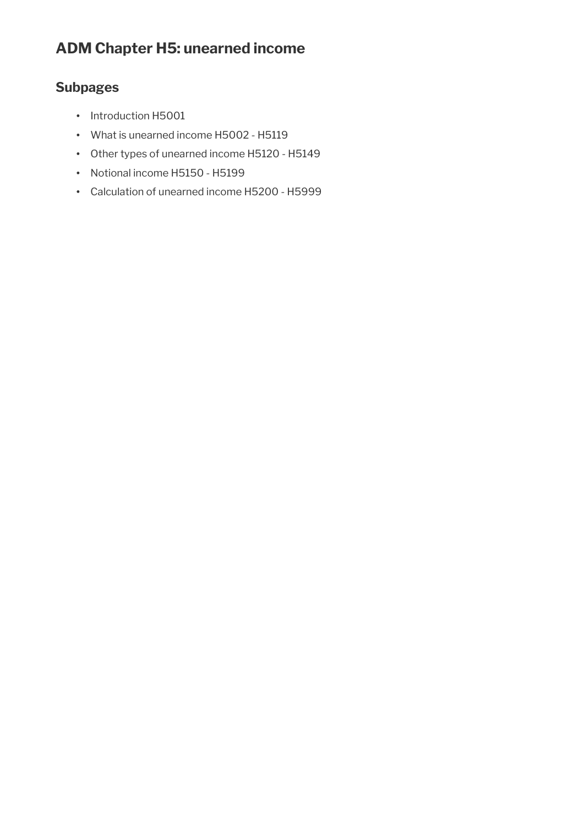# **ADM Chapter H5: unearned income**

# **Subpages**

- Introduction H5001
- What is unearned income H5002 H5119
- Other types of unearned income H5120 H5149
- Notional income H5150 H5199
- Calculation of unearned income H5200 H5999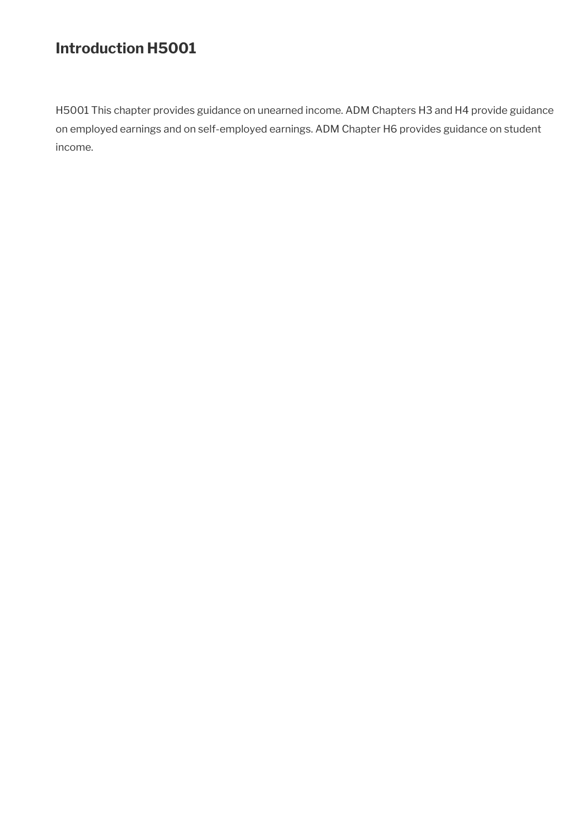# **Introduction H5001**

H5001 This chapter provides guidance on unearned income. ADM Chapters H3 and H4 provide guidance on employed earnings and on self-employed earnings. ADM Chapter H6 provides guidance on student income.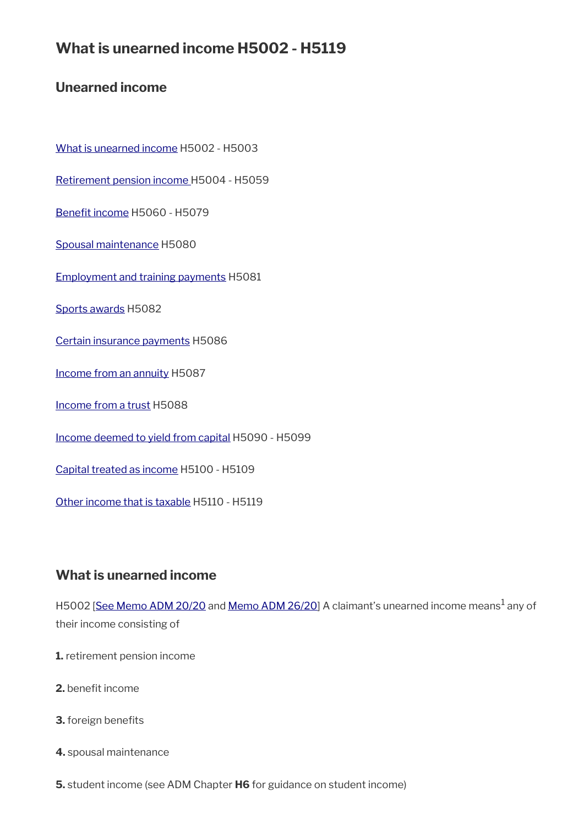# **What is unearned income H5002 - H5119**

# **Unearned income**

[What is unearned income](#page-2-0) H5002 - H5003

[Retirement pension income H](#page-3-0)5004 - H5059

Benefit income H5060 - H5079

[Spousal maintenance](#page-12-2) H5080

[Employment and training payments](#page-12-1) H5081

[Sports awards](#page-12-0) H5082

[Certain insurance payments](#page-14-3) H5086

[Income from an annuity](#page-14-2) H5087

[Income from a trust](#page-14-1) H5088

[Income deemed to yield from capital](#page-14-0) H5090 - H5099

[Capital treated as income](#page-16-0) H5100 - H5109

[Other income that is taxable](#page-17-0) H5110 - H5119

# <span id="page-2-0"></span>**What is unearned income**

H5002 <u>[\[See Memo ADM 20/20](http://intranet.dwp.gov.uk/manual/advice-decision-making-adm/2020-nhs-test-and-trace-self-isolation-payment)</u> and <u>Memo ADM 26/20</u>] A claimant's unearned income means<sup>1</sup> any of their income consisting of

- **1.** retirement pension income
- **2.** benefit income
- **3.** foreign benefits
- **4.** spousal maintenance
- **5.** student income (see ADM Chapter **H6** for guidance on student income)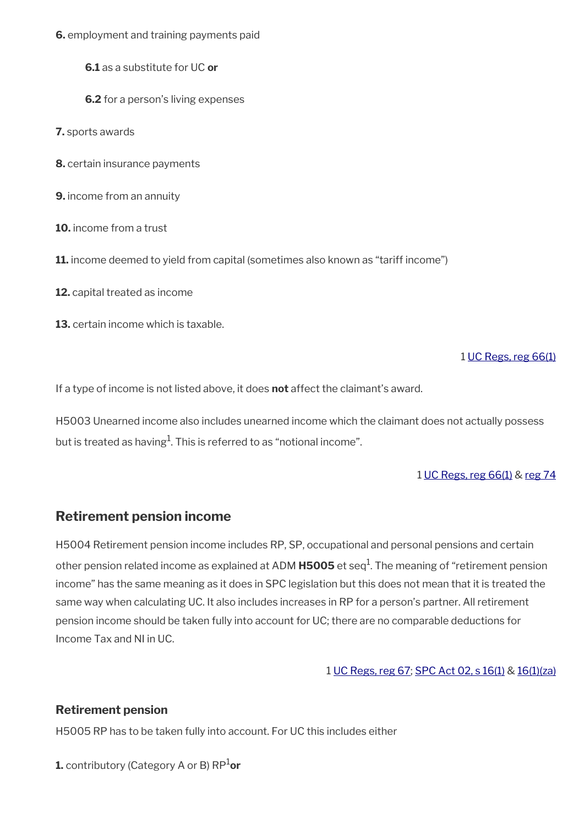**6.** employment and training payments paid

**6.1** as a substitute for UC **or**

**6.2** for a person's living expenses

**7.** sports awards

**8.** certain insurance payments

**9.** income from an annuity

**10.** income from a trust

**11.** income deemed to yield from capital (sometimes also known as "tariff income")

**12.** capital treated as income

**13.** certain income which is taxable.

### 1 [UC Regs, reg 66\(1\)](https://www.legislation.gov.uk/uksi/2013/376/regulation/66)

If a type of income is not listed above, it does **not** affect the claimant's award.

H5003 Unearned income also includes unearned income which the claimant does not actually possess but is treated as having $^{\rm 1}$ . This is referred to as "notional income".

#### 1 [UC Regs, reg 66\(1\)](https://www.legislation.gov.uk/uksi/2013/376/regulation/66) & [reg 74](https://www.legislation.gov.uk/uksi/2013/376/regulation/74)

## <span id="page-3-0"></span>**Retirement pension income**

H5004 Retirement pension income includes RP, SP, occupational and personal pensions and certain other pension related income as explained at ADM **H5005** et seq<sup>1</sup>. The meaning of "retirement pension income" has the same meaning as it does in SPC legislation but this does not mean that it is treated the same way when calculating UC. It also includes increases in RP for a person's partner. All retirement pension income should be taken fully into account for UC; there are no comparable deductions for Income Tax and NI in UC.

### 1 [UC Regs, reg 67;](https://www.legislation.gov.uk/uksi/2013/376/regulation/67) [SPC Act 02, s 16\(1\)](https://www.legislation.gov.uk/ukpga/2002/16/section/16) & [16\(1\)\(za\)](https://www.legislation.gov.uk/ukpga/2002/16/section/16)

### **Retirement pension**

H5005 RP has to be taken fully into account. For UC this includes either

**1.** contributory (Category A or B) RP<sup>1</sup>or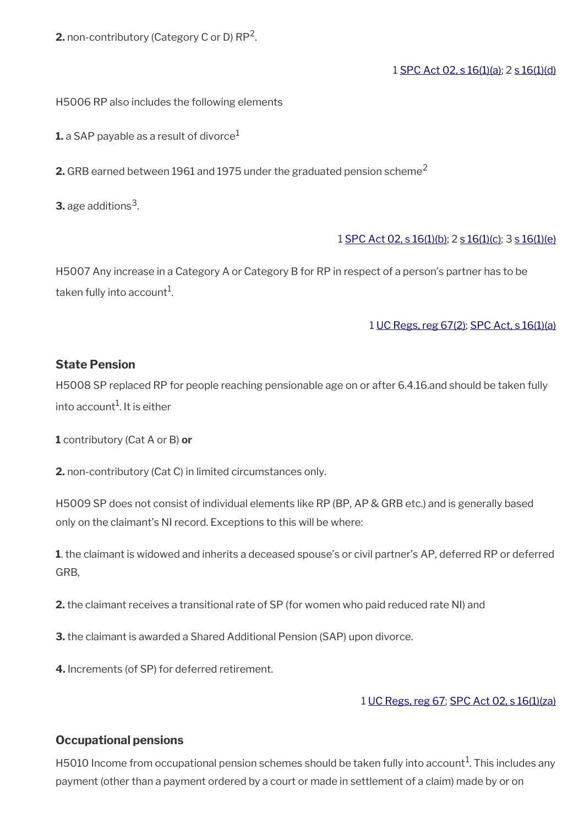**2.** non-contributory (Category C or D)  $RP^2$ .

### 1 [SPC Act 02, s 16\(1\)\(a\)](https://www.legislation.gov.uk/ukpga/2002/16/section/16); 2 [s 16\(1\)\(d\)](https://www.legislation.gov.uk/ukpga/2002/16/section/16)

H5006 RP also includes the following elements

**1.** a SAP payable as a result of divorce $<sup>1</sup>$ </sup>

**2.** GRB earned between 1961 and 1975 under the graduated pension scheme<sup>2</sup>

**3.** age additions  $^3$  .

### 1 [SPC Act 02, s 16\(1\)\(b\);](https://www.legislation.gov.uk/ukpga/2002/16/section/16) 2 [s 16\(1\)\(c\)](https://www.legislation.gov.uk/ukpga/2002/16/section/16); 3 [s 16\(1\)\(e\)](https://www.legislation.gov.uk/ukpga/2002/16/section/16)

H5007 Any increase in a Category A or Category B for RP in respect of a person's partner has to be taken fully into account $^{\rm 1}$ .

1 [UC Regs, reg 67\(2\);](https://www.legislation.gov.uk/uksi/2013/376/regulation/67) [SPC Act, s 16\(1\)\(a\)](https://www.legislation.gov.uk/ukpga/2002/16/section/16)

### **State Pension**

H5008 SP replaced RP for people reaching pensionable age on or after 6.4.16.and should be taken fully into account<sup>1</sup>. It is either

**1** contributory (Cat A or B) **or**

**2.** non-contributory (Cat C) in limited circumstances only.

H5009 SP does not consist of individual elements like RP (BP, AP & GRB etc.) and is generally based only on the claimant's NI record. Exceptions to this will be where:

**1**. the claimant is widowed and inherits a deceased spouse's or civil partner's AP, deferred RP or deferred GRB,

**2.** the claimant receives a transitional rate of SP (for women who paid reduced rate NI) and

**3.** the claimant is awarded a Shared Additional Pension (SAP) upon divorce.

**4.** Increments (of SP) for deferred retirement.

### 1 [UC Regs, reg 67](https://www.legislation.gov.uk/uksi/2013/376/regulation/67); [SPC Act 02, s 16\(1\)\(za\)](https://www.legislation.gov.uk/ukpga/2002/16/section/16)

### **Occupational pensions**

H5010 Income from occupational pension schemes should be taken fully into account $^1$ . This includes any payment (other than a payment ordered by a court or made in settlement of a claim) made by or on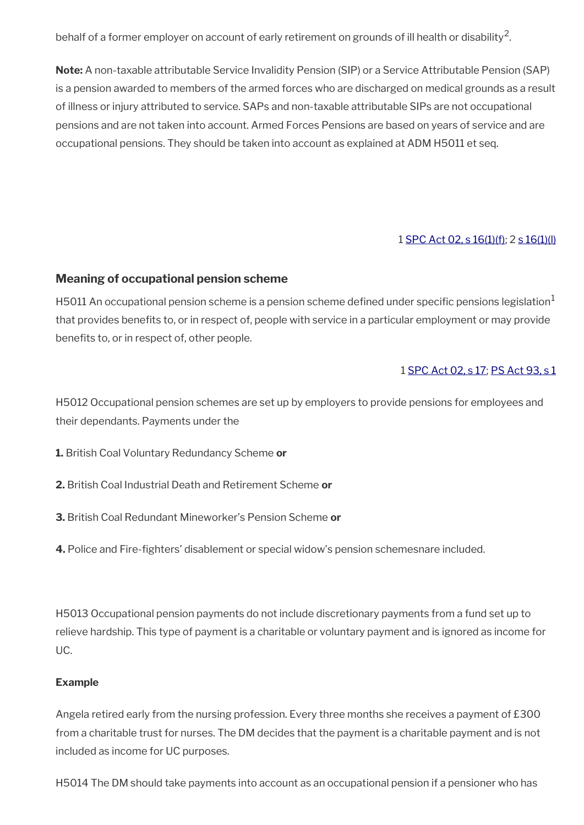behalf of a former employer on account of early retirement on grounds of ill health or disability<sup>2</sup>.

**Note:** A non-taxable attributable Service Invalidity Pension (SIP) or a Service Attributable Pension (SAP) is a pension awarded to members of the armed forces who are discharged on medical grounds as a result of illness or injury attributed to service. SAPs and non-taxable attributable SIPs are not occupational pensions and are not taken into account. Armed Forces Pensions are based on years of service and are occupational pensions. They should be taken into account as explained at ADM H5011 et seq.

### 1 [SPC Act 02, s 16\(1\)\(f\)](https://www.legislation.gov.uk/ukpga/2002/16/section/16); 2 [s 16\(1\)\(l\)](https://www.legislation.gov.uk/ukpga/2002/16/section/16)

### **Meaning of occupational pension scheme**

H5011 An occupational pension scheme is a pension scheme defined under specific pensions legislation<sup>1</sup> that provides benefts to, or in respect of, people with service in a particular employment or may provide benefits to, or in respect of, other people.

### 1 [SPC Act 02, s 17;](https://www.legislation.gov.uk/ukpga/2002/16/section/17) [PS Act 93, s 1](https://www.legislation.gov.uk/ukpga/1993/48/contents)

H5012 Occupational pension schemes are set up by employers to provide pensions for employees and their dependants. Payments under the

- **1.** British Coal Voluntary Redundancy Scheme **or**
- **2.** British Coal Industrial Death and Retirement Scheme **or**
- **3.** British Coal Redundant Mineworker's Pension Scheme **or**
- **4.** Police and Fire-fghters' disablement or special widow's pension schemesnare included.

H5013 Occupational pension payments do not include discretionary payments from a fund set up to relieve hardship. This type of payment is a charitable or voluntary payment and is ignored as income for UC.

### **Example**

Angela retired early from the nursing profession. Every three months she receives a payment of £300 from a charitable trust for nurses. The DM decides that the payment is a charitable payment and is not included as income for UC purposes.

H5014 The DM should take payments into account as an occupational pension if a pensioner who has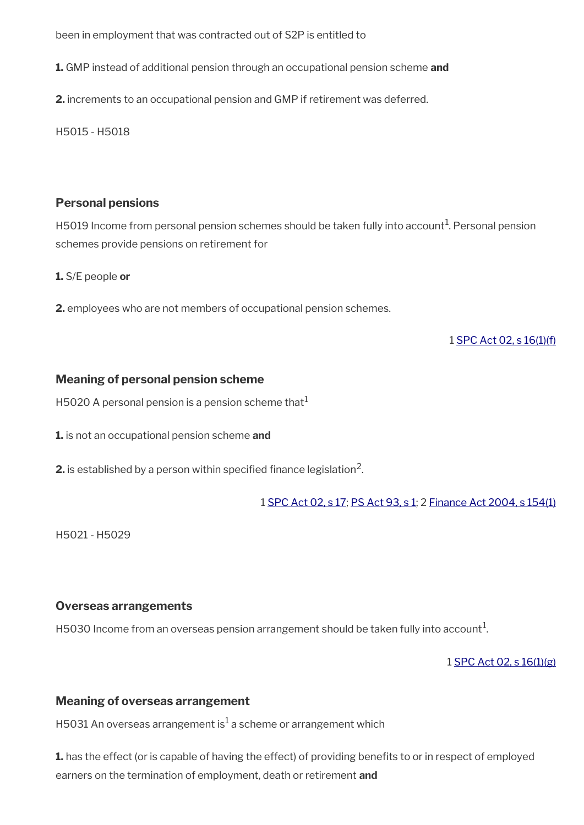been in employment that was contracted out of S2P is entitled to

**1.** GMP instead of additional pension through an occupational pension scheme **and**

**2.** increments to an occupational pension and GMP if retirement was deferred.

H5015 - H5018

### **Personal pensions**

H5019 Income from personal pension schemes should be taken fully into account<sup>1</sup>. Personal pension schemes provide pensions on retirement for

**1.** S/E people **or**

**2.** employees who are not members of occupational pension schemes.

1 [SPC Act 02, s 16\(1\)\(f\)](https://www.legislation.gov.uk/ukpga/2002/16/section/16)

### **Meaning of personal pension scheme**

H5020 A personal pension is a pension scheme that  $1$ 

**1.** is not an occupational pension scheme **and**

 $\mathbf 2.$  is established by a person within specified finance legislation $^2$ .

1 [SPC Act 02, s 17](https://www.legislation.gov.uk/ukpga/2002/16/section/17); [PS Act 93, s 1](https://www.legislation.gov.uk/ukpga/1993/48/contents); 2 [Finance Act 2004, s 154\(1\)](https://www.legislation.gov.uk/ukpga/2004/12/section/154)

H5021 - H5029

### **Overseas arrangements**

H5030 Income from an overseas pension arrangement should be taken fully into account $^1$ .

1 [SPC Act 02, s 16\(1\)\(g\)](https://www.legislation.gov.uk/ukpga/2002/16/section/16)

### **Meaning of overseas arrangement**

H5031 An overseas arrangement is $^{\rm 1}$  a scheme or arrangement which

**1.** has the effect (or is capable of having the effect) of providing benefits to or in respect of employed earners on the termination of employment, death or retirement **and**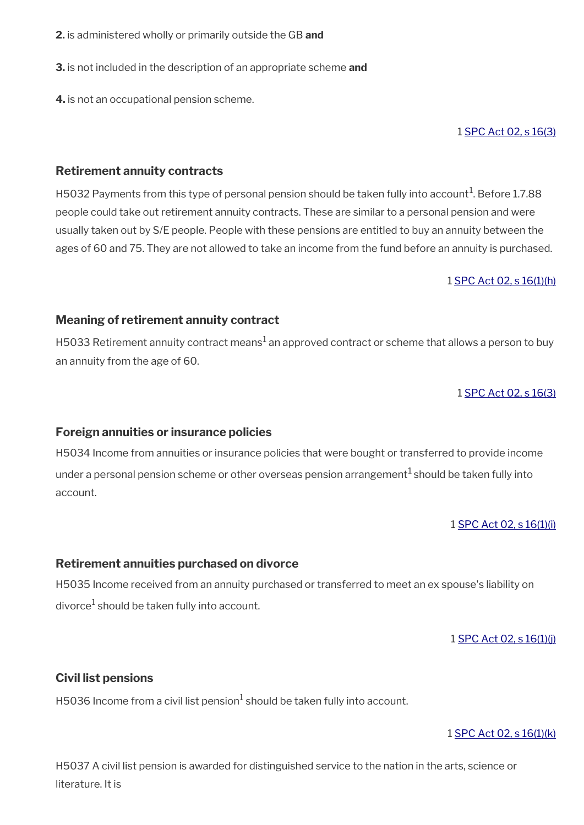- **2.** is administered wholly or primarily outside the GB **and**
- **3.** is not included in the description of an appropriate scheme **and**
- **4.** is not an occupational pension scheme.

#### 1 [SPC Act 02, s 16\(3\)](https://www.legislation.gov.uk/ukpga/2002/16/section/16)

### **Retirement annuity contracts**

H5032 Payments from this type of personal pension should be taken fully into account $^1$ . Before 1.7.88 people could take out retirement annuity contracts. These are similar to a personal pension and were usually taken out by S/E people. People with these pensions are entitled to buy an annuity between the ages of 60 and 75. They are not allowed to take an income from the fund before an annuity is purchased.

#### 1 [SPC Act 02, s 16\(1\)\(h\)](https://www.legislation.gov.uk/ukpga/2002/16/section/16)

### **Meaning of retirement annuity contract**

H5033 Retirement annuity contract means $^1$  an approved contract or scheme that allows a person to buy an annuity from the age of 60.

1 [SPC Act 02, s 16\(3\)](https://www.legislation.gov.uk/ukpga/2002/16/section/16)

#### **Foreign annuities or insurance policies**

H5034 Income from annuities or insurance policies that were bought or transferred to provide income under a personal pension scheme or other overseas pension arrangement<sup>1</sup> should be taken fully into account.

#### 1 [SPC Act 02, s 16\(1\)\(i\)](https://www.legislation.gov.uk/ukpga/2002/16/section/16)

### **Retirement annuities purchased on divorce**

H5035 Income received from an annuity purchased or transferred to meet an ex spouse's liability on divorce $^1$  should be taken fully into account.

1 [SPC Act 02, s 16\(1\)\(j\)](https://www.legislation.gov.uk/ukpga/2002/16/section/16)

### **Civil list pensions**

H5036 Income from a civil list pension $^1$  should be taken fully into account.

### 1 [SPC Act 02, s 16\(1\)\(k\)](https://www.legislation.gov.uk/ukpga/2002/16/section/16)

H5037 A civil list pension is awarded for distinguished service to the nation in the arts, science or literature. It is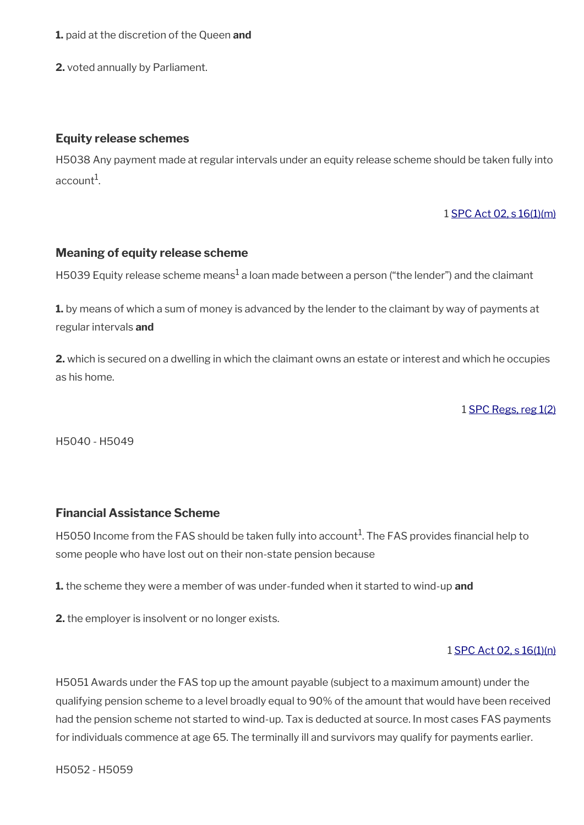- **1.** paid at the discretion of the Queen **and**
- **2.** voted annually by Parliament.

#### **Equity release schemes**

H5038 Any payment made at regular intervals under an equity release scheme should be taken fully into account $^{\rm 1}$ .

#### 1 [SPC Act 02, s 16\(1\)\(m\)](https://www.legislation.gov.uk/ukpga/2002/16/section/16)

#### **Meaning of equity release scheme**

H5039 Equity release scheme means $^1$ a loan made between a person ("the lender") and the claimant

**1.** by means of which a sum of money is advanced by the lender to the claimant by way of payments at regular intervals **and**

**2.** which is secured on a dwelling in which the claimant owns an estate or interest and which he occupies as his home.

1 [SPC Regs, reg 1\(2\)](https://www.legislation.gov.uk/uksi/2002/1792/regulation/1)

H5040 - H5049

### **Financial Assistance Scheme**

H5050 Income from the FAS should be taken fully into account $^1$ . The FAS provides financial help to some people who have lost out on their non-state pension because

**1.** the scheme they were a member of was under-funded when it started to wind-up **and**

**2.** the employer is insolvent or no longer exists.

#### 1 [SPC Act 02, s 16\(1\)\(n\)](https://www.legislation.gov.uk/ukpga/2002/16/section/16)

H5051 Awards under the FAS top up the amount payable (subject to a maximum amount) under the qualifying pension scheme to a level broadly equal to 90% of the amount that would have been received had the pension scheme not started to wind-up. Tax is deducted at source. In most cases FAS payments for individuals commence at age 65. The terminally ill and survivors may qualify for payments earlier.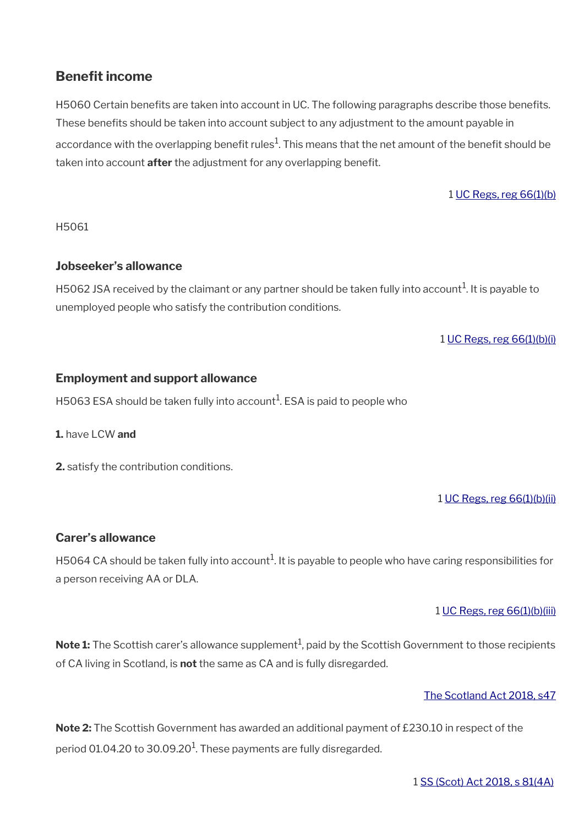# <span id="page-9-0"></span>**Benefit income**

H5060 Certain benefits are taken into account in UC. The following paragraphs describe those benefits. These benefits should be taken into account subject to any adjustment to the amount payable in accordance with the overlapping benefit rules $^1$ . This means that the net amount of the benefit should be taken into account **after** the adjustment for any overlapping beneft.

1 [UC Regs, reg 66\(1\)\(b\)](https://www.legislation.gov.uk/uksi/2013/376/regulation/66)

H5061

### **Jobseeker's allowance**

H5062 JSA received by the claimant or any partner should be taken fully into account $^1$ . It is payable to unemployed people who satisfy the contribution conditions.

1 [UC Regs, reg 66\(1\)\(b\)\(i\)](https://www.legislation.gov.uk/uksi/2013/376/regulation/66)

### **Employment and support allowance**

H5063 ESA should be taken fully into account $^1$ . ESA is paid to people who

**1.** have LCW **and**

**2.** satisfy the contribution conditions.

1 [UC Regs, reg 66\(1\)\(b\)\(ii\)](https://www.legislation.gov.uk/uksi/2013/376/regulation/66)

### **Carer's allowance**

H5064 CA should be taken fully into account $^1$ . It is payable to people who have caring responsibilities for a person receiving AA or DLA.

### 1 [UC Regs, reg 66\(1\)\(b\)\(iii\)](https://www.legislation.gov.uk/uksi/2013/376/regulation/66)

 $\mathsf{Note}\, 1$ : The Scottish carer's allowance supplement $^1$ , paid by the Scottish Government to those recipients of CA living in Scotland, is **not** the same as CA and is fully disregarded.

### [The Scotland Act 2018, s47](https://www.legislation.gov.uk/asp/2018/9/section/47)

**Note 2:** The Scottish Government has awarded an additional payment of £230.10 in respect of the period 01.04.20 to 30.09.20 $^{\rm 1}$ . These payments are fully disregarded.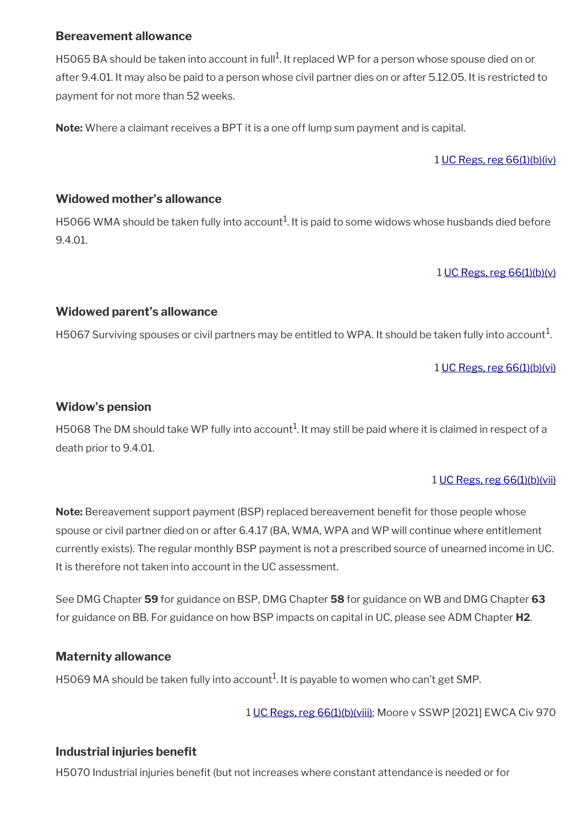### **Bereavement allowance**

H5065 BA should be taken into account in full<sup>1</sup>. It replaced WP for a person whose spouse died on or after 9.4.01. It may also be paid to a person whose civil partner dies on or after 5.12.05. It is restricted to payment for not more than 52 weeks.

**Note:** Where a claimant receives a BPT it is a one off lump sum payment and is capital.

1 [UC Regs, reg 66\(1\)\(b\)\(iv\)](https://www.legislation.gov.uk/uksi/2013/376/regulation/66)

### **Widowed mother's allowance**

H5066 WMA should be taken fully into account $^1$ . It is paid to some widows whose husbands died before 9.4.01.

1 [UC Regs, reg 66\(1\)\(b\)\(v\)](https://www.legislation.gov.uk/uksi/2013/376/regulation/66)

### **Widowed parent's allowance**

H5067 Surviving spouses or civil partners may be entitled to WPA. It should be taken fully into account $^1$ .

1 [UC Regs, reg 66\(1\)\(b\)\(vi\)](https://www.legislation.gov.uk/uksi/2013/376/regulation/66)

### **Widow's pension**

H5068 The DM should take WP fully into account $^1$ . It may still be paid where it is claimed in respect of a death prior to 9.4.01.

### 1 [UC Regs, reg 66\(1\)\(b\)\(vii\)](https://www.legislation.gov.uk/uksi/2013/376/regulation/66)

**Note:** Bereavement support payment (BSP) replaced bereavement benefit for those people whose spouse or civil partner died on or after 6.4.17 (BA, WMA, WPA and WP will continue where entitlement currently exists). The regular monthly BSP payment is not a prescribed source of unearned income in UC. It is therefore not taken into account in the UC assessment.

See DMG Chapter **59** for guidance on BSP, DMG Chapter **58** for guidance on WB and DMG Chapter **63**  for guidance on BB. For guidance on how BSP impacts on capital in UC, please see ADM Chapter **H2**.

## **Maternity allowance**

H5069 MA should be taken fully into account $^1$ . It is payable to women who can't get SMP.

1 [UC Regs, reg 66\(1\)\(b\)\(viii\);](https://www.legislation.gov.uk/uksi/2013/376/regulation/66) Moore v SSWP [2021] EWCA Civ 970

## **Industrial injuries benefit**

H5070 Industrial injuries beneft (but not increases where constant attendance is needed or for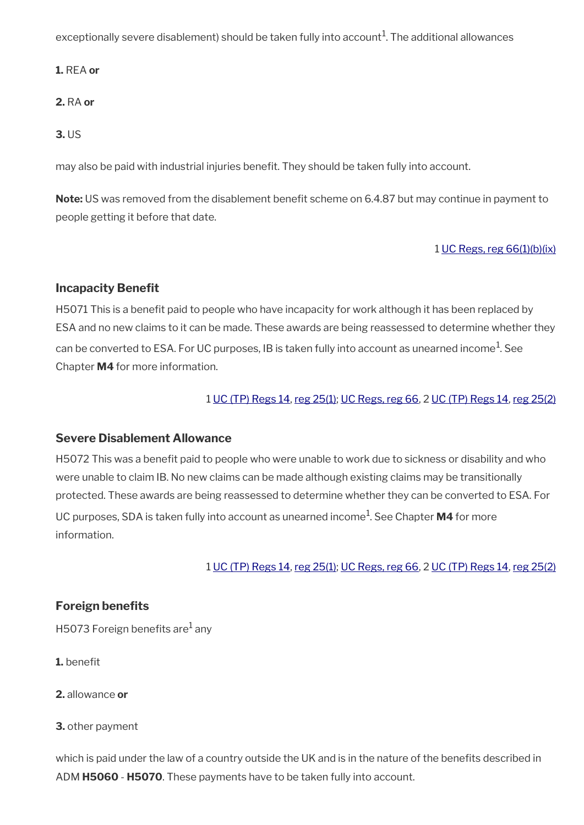exceptionally severe disablement) should be taken fully into account $^1\!$ . The additional allowances

**1.** REA **or**

**2.** RA **or**

**3.** US

may also be paid with industrial injuries beneft. They should be taken fully into account.

**Note:** US was removed from the disablement benefit scheme on 6.4.87 but may continue in payment to people getting it before that date.

### 1 [UC Regs, reg 66\(1\)\(b\)\(ix\)](https://www.legislation.gov.uk/uksi/2013/376/regulation/66)

### **Incapacity Benefit**

H5071 This is a benefit paid to people who have incapacity for work although it has been replaced by ESA and no new claims to it can be made. These awards are being reassessed to determine whether they can be converted to ESA. For UC purposes, IB is taken fully into account as unearned income $^{\rm 1}$ . See Chapter **M4** for more information.

### 1 [UC \(TP\) Regs 14,](https://www.legislation.gov.uk/uksi/2013/386/regulation/14) [reg 25\(1\)](https://www.legislation.gov.uk/uksi/2013/386/regulation/25); [UC Regs, reg 66](https://www.legislation.gov.uk/uksi/2013/376/regulation/66), 2 [UC \(TP\) Regs 14](https://www.legislation.gov.uk/uksi/2013/386/regulation/14), [reg 25\(2\)](https://www.legislation.gov.uk/uksi/2013/386/regulation/25)

### **Severe Disablement Allowance**

H5072 This was a benefit paid to people who were unable to work due to sickness or disability and who were unable to claim IB. No new claims can be made although existing claims may be transitionally protected. These awards are being reassessed to determine whether they can be converted to ESA. For UC purposes, SDA is taken fully into account as unearned income<sup>1</sup>. See Chapter **M4** for more information.

1 [UC \(TP\) Regs 14,](https://www.legislation.gov.uk/uksi/2013/386/regulation/14) [reg 25\(1\)](https://www.legislation.gov.uk/uksi/2013/386/regulation/25); [UC Regs, reg 66](https://www.legislation.gov.uk/uksi/2013/376/regulation/66), 2 [UC \(TP\) Regs 14](https://www.legislation.gov.uk/uksi/2013/386/regulation/14), [reg 25\(2\)](https://www.legislation.gov.uk/uksi/2013/386/regulation/25)

### **Foreign benefits**

H5073 Foreign benefits are $^{\rm 1}$  any

- **1.** benefit
- **2.** allowance **or**

**3.** other payment

which is paid under the law of a country outside the UK and is in the nature of the benefits described in ADM **H5060** - **H5070**. These payments have to be taken fully into account.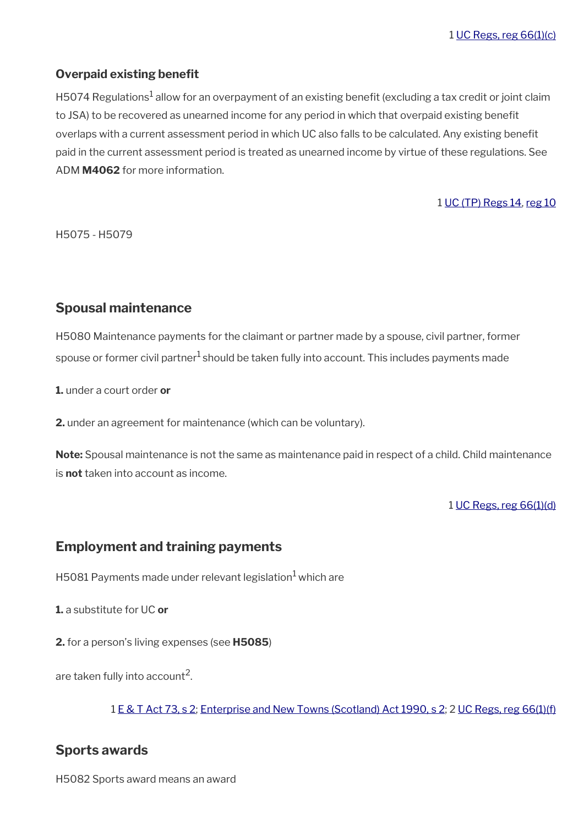### **Overpaid existing benefit**

H5074 Regulations $^1$  allow for an overpayment of an existing benefit (excluding a tax credit or joint claim to JSA) to be recovered as unearned income for any period in which that overpaid existing beneft overlaps with a current assessment period in which UC also falls to be calculated. Any existing beneft paid in the current assessment period is treated as unearned income by virtue of these regulations. See ADM **M4062** for more information.

#### 1 [UC \(TP\) Regs 14,](https://www.legislation.gov.uk/uksi/2013/386/regulation/14) [reg 10](https://www.legislation.gov.uk/uksi/2013/386/regulation/10)

H5075 - H5079

## <span id="page-12-2"></span>**Spousal maintenance**

H5080 Maintenance payments for the claimant or partner made by a spouse, civil partner, former spouse or former civil partner<sup>1</sup> should be taken fully into account. This includes payments made

**1.** under a court order **or**

**2.** under an agreement for maintenance (which can be voluntary).

**Note:** Spousal maintenance is not the same as maintenance paid in respect of a child. Child maintenance is **not** taken into account as income.

#### 1 [UC Regs, reg 66\(1\)\(d\)](https://www.legislation.gov.uk/uksi/2013/376/regulation/66)

## <span id="page-12-1"></span>**Employment and training payments**

H5081 Payments made under relevant legislation $1$  which are

**1.** a substitute for UC **or**

**2.** for a person's living expenses (see **H5085**)

are taken fully into account<sup>2</sup>.

1 [E & T Act 73, s 2;](https://www.legislation.gov.uk/ukpga/1973/50/schedule/2) [Enterprise and New Towns \(Scotland\) Act 1990, s 2;](https://www.legislation.gov.uk/ukpga/1990/35/schedule/2) 2 [UC Regs, reg 66\(1\)\(f\)](https://www.legislation.gov.uk/uksi/2013/376/regulation/66)

### <span id="page-12-0"></span>**Sports awards**

H5082 Sports award means an award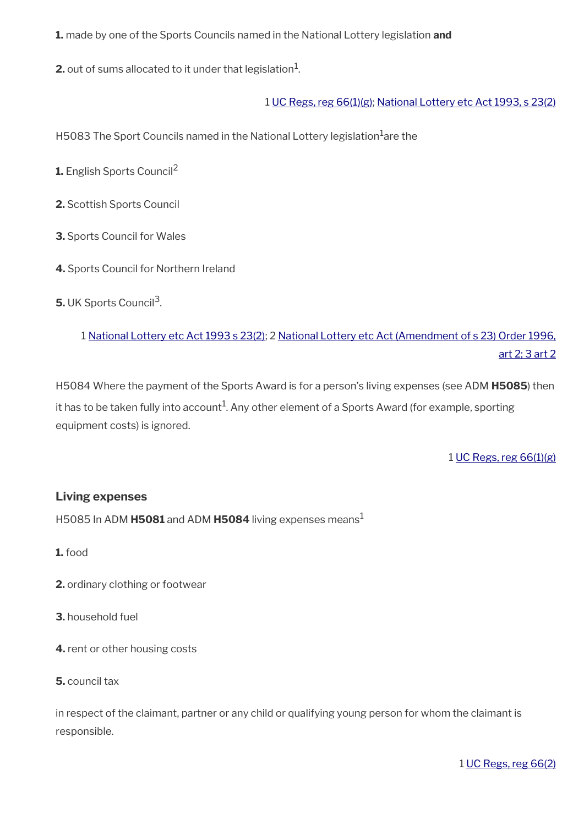**1.** made by one of the Sports Councils named in the National Lottery legislation **and**

**2.** out of sums allocated to it under that legislation $^1$ .

### 1 [UC Regs, reg 66\(1\)\(g\);](https://www.legislation.gov.uk/uksi/2013/376/regulation/66) [National Lottery etc Act 1993, s 23\(2\)](https://www.legislation.gov.uk/ukpga/1993/39/section/23)

H5083 The Sport Councils named in the National Lottery legislation<sup>1</sup>are the

**1.** English Sports Council<sup>2</sup>

**2.** Scottish Sports Council

**3.** Sports Council for Wales

**4.** Sports Council for Northern Ireland

**5.** UK Sports Council<sup>3</sup>.

1 [National Lottery etc Act 1993 s 23\(2\)](https://www.legislation.gov.uk/ukpga/1993/39/section/23); 2 [National Lottery etc Act \(Amendment of s 23\) Order 1996,](https://www.legislation.gov.uk/uksi/1996/3095/article/2/made) [art 2; 3 art 2](https://www.legislation.gov.uk/uksi/1996/3095/article/2/made)

H5084 Where the payment of the Sports Award is for a person's living expenses (see ADM **H5085**) then it has to be taken fully into account $^1$ . Any other element of a Sports Award (for example, sporting equipment costs) is ignored.

1 [UC Regs, reg 66\(1\)\(g\)](https://www.legislation.gov.uk/uksi/2013/376/regulation/66)

### **Living expenses**

H5085 In ADM **H5081** and ADM **H5084** living expenses means<sup>1</sup>

**1.** food

**2.** ordinary clothing or footwear

#### **3.** household fuel

**4.** rent or other housing costs

**5.** council tax

in respect of the claimant, partner or any child or qualifying young person for whom the claimant is responsible.

1 [UC Regs, reg 66\(2\)](https://www.legislation.gov.uk/uksi/2013/376/regulation/66)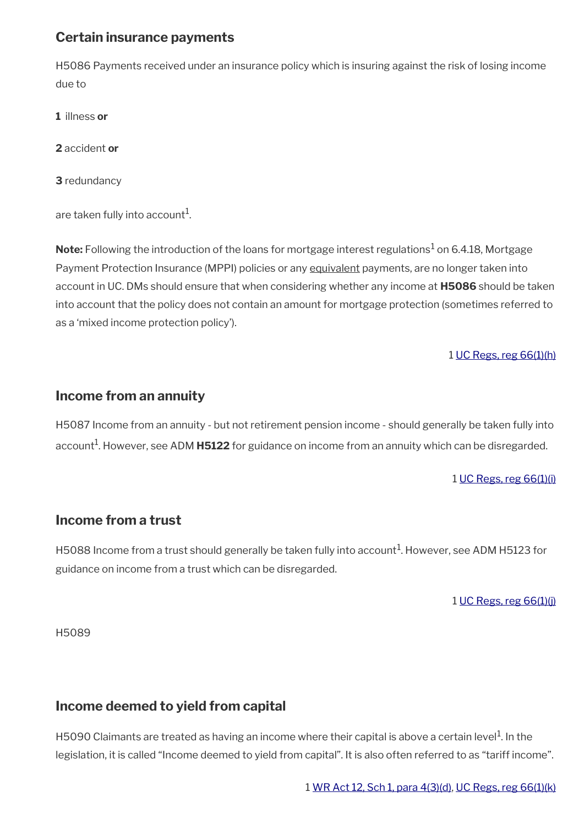# <span id="page-14-3"></span>**Certain insurance payments**

H5086 Payments received under an insurance policy which is insuring against the risk of losing income due to

**1** illness **or**

**2** accident **or**

**3** redundancy

are taken fully into account $^{\rm 1}$ .

 $\mathsf{Note:}$  Following the introduction of the loans for mortgage interest regulations $^1$  on 6.4.18, Mortgage Payment Protection Insurance (MPPI) policies or any equivalent payments, are no longer taken into account in UC. DMs should ensure that when considering whether any income at **H5086** should be taken into account that the policy does not contain an amount for mortgage protection (sometimes referred to as a 'mixed income protection policy').

### 1 [UC Regs, reg 66\(1\)\(h\)](https://www.legislation.gov.uk/uksi/2013/376/regulation/66)

## <span id="page-14-2"></span>**Income from an annuity**

H5087 Income from an annuity - but not retirement pension income - should generally be taken fully into account<sup>1</sup>. However, see ADM **H5122** for guidance on income from an annuity which can be disregarded.

#### 1 [UC Regs, reg 66\(1\)\(i\)](https://www.legislation.gov.uk/uksi/2013/376/regulation/66)

## <span id="page-14-1"></span>**Income from a trust**

H5088 Income from a trust should generally be taken fully into account $^1$ . However, see ADM H5123 for guidance on income from a trust which can be disregarded.

#### 1 [UC Regs, reg 66\(1\)\(j\)](https://www.legislation.gov.uk/uksi/2013/376/regulation/66)

H5089

# <span id="page-14-0"></span>**Income deemed to yield from capital**

H5090 Claimants are treated as having an income where their capital is above a certain level $^{\rm 1}$ . In the legislation, it is called "Income deemed to yield from capital". It is also often referred to as "tariff income".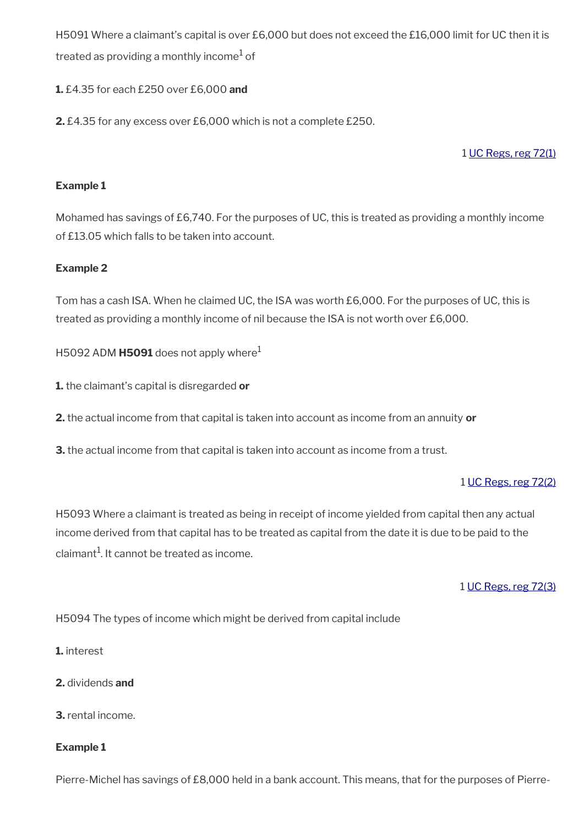H5091 Where a claimant's capital is over £6,000 but does not exceed the £16,000 limit for UC then it is treated as providing a monthly income $^{\rm 1}$  of

### **1.** £4.35 for each £250 over £6,000 **and**

**2.** £4.35 for any excess over £6,000 which is not a complete £250.

1 [UC Regs, reg 72\(1\)](https://www.legislation.gov.uk/uksi/2013/376/regulation/72)

### **Example 1**

Mohamed has savings of £6,740. For the purposes of UC, this is treated as providing a monthly income of £13.05 which falls to be taken into account.

### **Example 2**

Tom has a cash ISA. When he claimed UC, the ISA was worth £6,000. For the purposes of UC, this is treated as providing a monthly income of nil because the ISA is not worth over £6,000.

H5092 ADM **H5091** does not apply where<sup>1</sup>

**1.** the claimant's capital is disregarded **or**

**2.** the actual income from that capital is taken into account as income from an annuity **or**

**3.** the actual income from that capital is taken into account as income from a trust.

#### 1 [UC Regs, reg 72\(2\)](https://www.legislation.gov.uk/uksi/2013/376/regulation/72)

H5093 Where a claimant is treated as being in receipt of income yielded from capital then any actual income derived from that capital has to be treated as capital from the date it is due to be paid to the claimant $^{\rm 1}$ . It cannot be treated as income.

### 1 [UC Regs, reg 72\(3\)](https://www.legislation.gov.uk/uksi/2013/376/regulation/72)

H5094 The types of income which might be derived from capital include

- **1.** interest
- **2.** dividends **and**
- **3.** rental income.

#### **Example 1**

Pierre-Michel has savings of £8,000 held in a bank account. This means, that for the purposes of Pierre-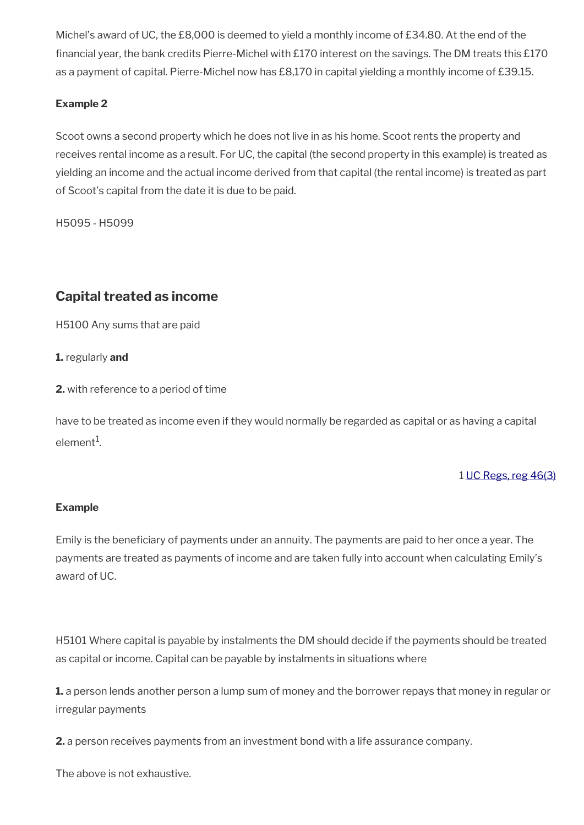Michel's award of UC, the £8,000 is deemed to yield a monthly income of £34.80. At the end of the fnancial year, the bank credits Pierre-Michel with £170 interest on the savings. The DM treats this £170 as a payment of capital. Pierre-Michel now has £8,170 in capital yielding a monthly income of £39.15.

### **Example 2**

Scoot owns a second property which he does not live in as his home. Scoot rents the property and receives rental income as a result. For UC, the capital (the second property in this example) is treated as yielding an income and the actual income derived from that capital (the rental income) is treated as part of Scoot's capital from the date it is due to be paid.

H5095 - H5099

# <span id="page-16-0"></span>**Capital treated as income**

H5100 Any sums that are paid

**1.** regularly **and**

**2.** with reference to a period of time

have to be treated as income even if they would normally be regarded as capital or as having a capital element $^1$ .

1 [UC Regs, reg 46\(3\)](https://www.legislation.gov.uk/uksi/2013/376/regulation/46)

### **Example**

Emily is the beneficiary of payments under an annuity. The payments are paid to her once a year. The payments are treated as payments of income and are taken fully into account when calculating Emily's award of UC.

H5101 Where capital is payable by instalments the DM should decide if the payments should be treated as capital or income. Capital can be payable by instalments in situations where

**1.** a person lends another person a lump sum of money and the borrower repays that money in regular or irregular payments

**2.** a person receives payments from an investment bond with a life assurance company.

The above is not exhaustive.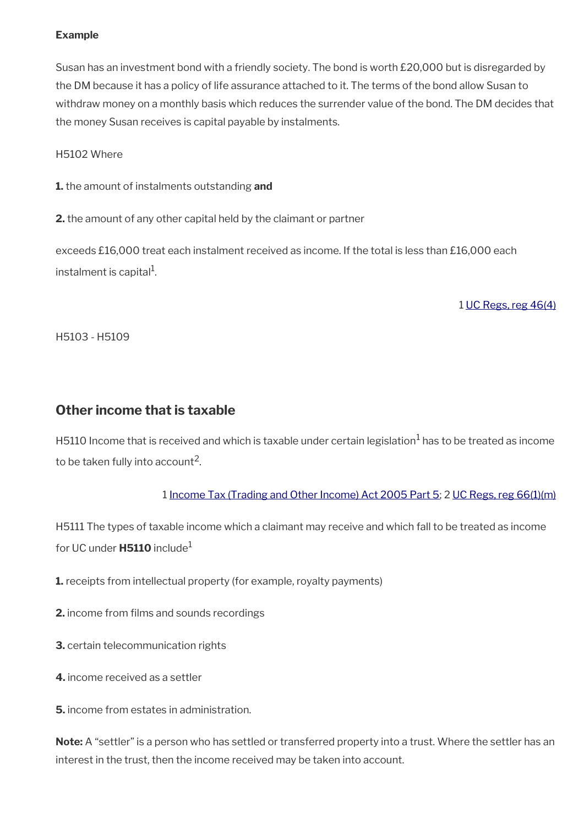### **Example**

Susan has an investment bond with a friendly society. The bond is worth £20,000 but is disregarded by the DM because it has a policy of life assurance attached to it. The terms of the bond allow Susan to withdraw money on a monthly basis which reduces the surrender value of the bond. The DM decides that the money Susan receives is capital payable by instalments.

### H5102 Where

**1.** the amount of instalments outstanding **and**

**2.** the amount of any other capital held by the claimant or partner

exceeds £16,000 treat each instalment received as income. If the total is less than £16,000 each instalment is capital $^{\rm 1}$ .

1 [UC Regs, reg 46\(4\)](https://www.legislation.gov.uk/uksi/2013/376/regulation/46)

H5103 - H5109

# <span id="page-17-0"></span>**Other income that is taxable**

H5110 Income that is received and which is taxable under certain legislation $^1$  has to be treated as income to be taken fully into account $^2\!.$ 

### 1 [Income Tax \(Trading and Other Income\) Act 2005 Part 5](https://www.legislation.gov.uk/ukpga/2005/5/part/5/chapter/5); 2 [UC Regs, reg 66\(1\)\(m\)](https://www.legislation.gov.uk/uksi/2013/376/regulation/66)

H5111 The types of taxable income which a claimant may receive and which fall to be treated as income for UC under **H5110** include<sup>1</sup>

**1.** receipts from intellectual property (for example, royalty payments)

**2.** income from films and sounds recordings

**3.** certain telecommunication rights

**4.** income received as a settler

**5.** income from estates in administration.

**Note:** A "settler" is a person who has settled or transferred property into a trust. Where the settler has an interest in the trust, then the income received may be taken into account.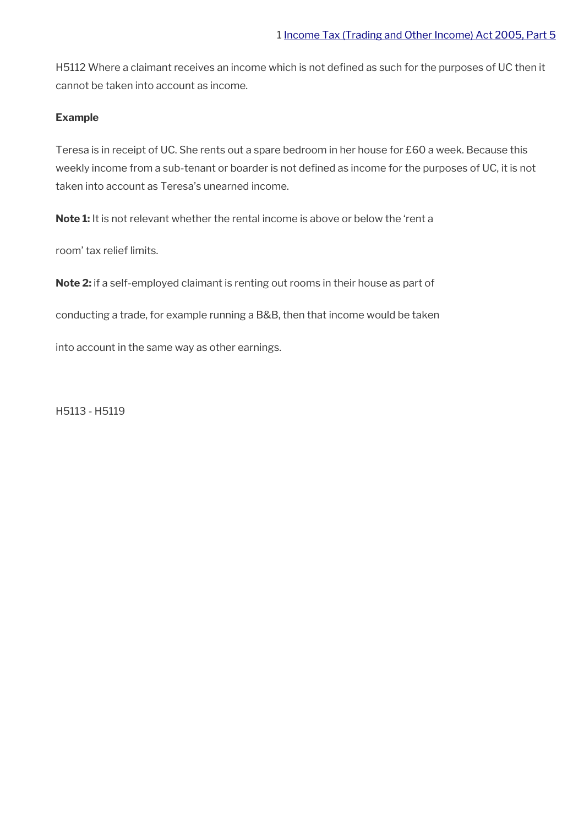H5112 Where a claimant receives an income which is not defned as such for the purposes of UC then it cannot be taken into account as income.

#### **Example**

Teresa is in receipt of UC. She rents out a spare bedroom in her house for £60 a week. Because this weekly income from a sub-tenant or boarder is not defined as income for the purposes of UC, it is not taken into account as Teresa's unearned income.

**Note 1:** It is not relevant whether the rental income is above or below the 'rent a

room' tax relief limits.

**Note 2:** if a self-employed claimant is renting out rooms in their house as part of

conducting a trade, for example running a B&B, then that income would be taken

into account in the same way as other earnings.

H5113 - H5119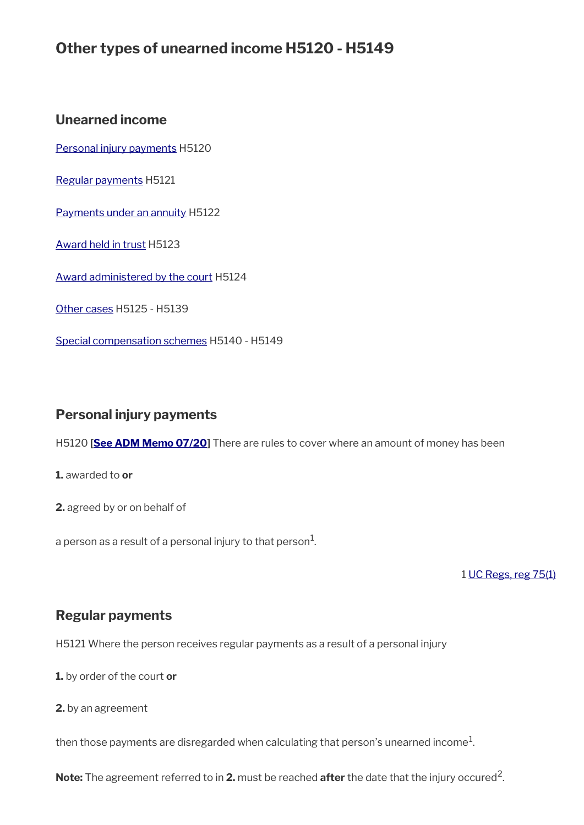# **Other types of unearned income H5120 - H5149**

## **Unearned income**

[Personal injury payments](#page-19-1) H5120

[Regular payments](#page-19-0) H5121

[Payments under an annuity](#page-20-3) H5122

[Award held in trust](#page-20-2) H5123

[Award administered by the court](#page-20-1) H5124

[Other cases](#page-20-0) H5125 - H5139

[Special compensation schemes](#page-21-0) H5140 - H5149

# <span id="page-19-1"></span>**Personal injury payments**

H5120 **[\[See ADM Memo 07/20](http://intranet.dwp.gov.uk/manual/advice-decision-making-adm/0720-troubles-permanent-disablement-payment-scheme)]** There are rules to cover where an amount of money has been

**1.** awarded to **or**

**2.** agreed by or on behalf of

a person as a result of a personal injury to that person $^1\!\!$ .

1 [UC Regs, reg 75\(1\)](https://www.legislation.gov.uk/uksi/2013/376/regulation/75)

# <span id="page-19-0"></span>**Regular payments**

H5121 Where the person receives regular payments as a result of a personal injury

**1.** by order of the court **or**

**2.** by an agreement

then those payments are disregarded when calculating that person's unearned income $^1\!$ 

**Note:** The agreement referred to in **2.** must be reached **after** the date that the injury occured<sup>2</sup>.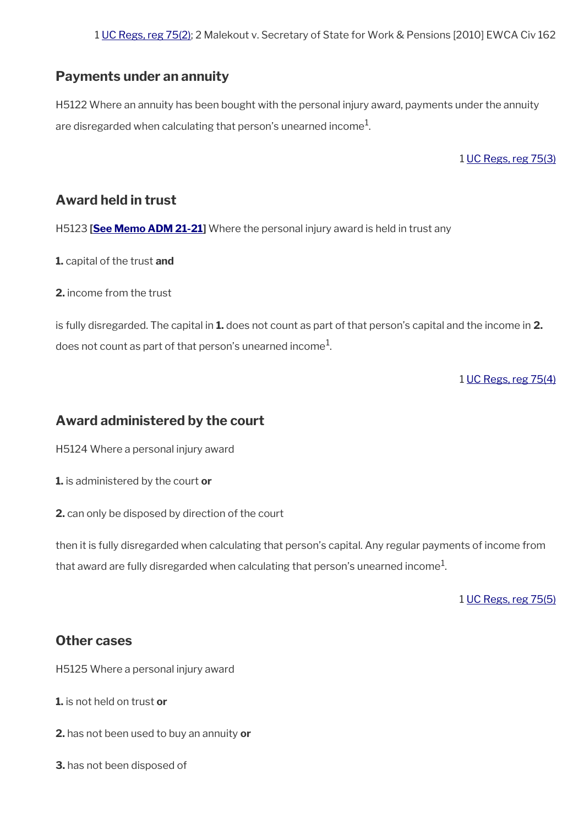# <span id="page-20-3"></span>**Payments under an annuity**

H5122 Where an annuity has been bought with the personal injury award, payments under the annuity are disregarded when calculating that person's unearned income $^{\mathrm{1}}$ .

1 [UC Regs, reg 75\(3\)](https://www.legislation.gov.uk/uksi/2013/376/regulation/75)

# <span id="page-20-2"></span>**Award held in trust**

H5123 **[[See Memo ADM 21-21](https://intranet.dwp.gov.uk/manual/advice-decision-making-adm/21-21-disregard-historical-abuse-and-windrush-schemes)]** Where the personal injury award is held in trust any

**1.** capital of the trust **and**

**2.** income from the trust

is fully disregarded. The capital in **1.** does not count as part of that person's capital and the income in **2.** does not count as part of that person's unearned income $^{\mathrm{1}}$ .

1 [UC Regs, reg 75\(4\)](https://www.legislation.gov.uk/uksi/2013/376/regulation/75)

# <span id="page-20-1"></span>**Award administered by the court**

H5124 Where a personal injury award

**1.** is administered by the court **or**

**2.** can only be disposed by direction of the court

then it is fully disregarded when calculating that person's capital. Any regular payments of income from that award are fully disregarded when calculating that person's unearned income $^1\!$ 

1 [UC Regs, reg 75\(5\)](https://www.legislation.gov.uk/uksi/2013/376/regulation/75)

# <span id="page-20-0"></span>**Other cases**

H5125 Where a personal injury award

**1.** is not held on trust **or**

- **2.** has not been used to buy an annuity **or**
- **3.** has not been disposed of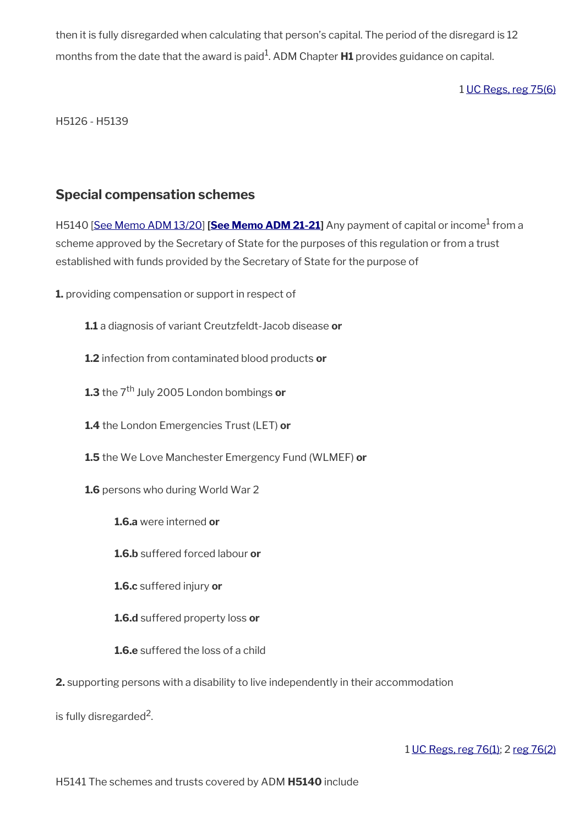then it is fully disregarded when calculating that person's capital. The period of the disregard is 12 months from the date that the award is paid<sup>1</sup>. ADM Chapter **H1** provides guidance on capital.

## 1 [UC Regs, reg 75\(6\)](https://www.legislation.gov.uk/uksi/2013/376/regulation/75)

H5126 - H5139

## <span id="page-21-0"></span>**Special compensation schemes**

H5140 [<u>See Memo ADM 13/20]</u> [[See Memo ADM 21-21\]](https://intranet.dwp.gov.uk/manual/advice-decision-making-adm/21-21-disregard-historical-abuse-and-windrush-schemes) Any payment of capital or income<sup>1</sup> from a scheme approved by the Secretary of State for the purposes of this regulation or from a trust established with funds provided by the Secretary of State for the purpose of

**1.** providing compensation or support in respect of

**1.1** a diagnosis of variant Creutzfeldt-Jacob disease **or**

**1.2** infection from contaminated blood products **or**

**1.3** the 7th July 2005 London bombings **or**

**1.4** the London Emergencies Trust (LET) **or**

**1.5** the We Love Manchester Emergency Fund (WLMEF) **or**

**1.6** persons who during World War 2

**1.6.a** were interned **or** 

**1.6.b** suffered forced labour **or**

**1.6.c** suffered injury **or**

**1.6.d** suffered property loss **or**

**1.6.e** suffered the loss of a child

**2.** supporting persons with a disability to live independently in their accommodation

is fully disregarded<sup>2</sup>.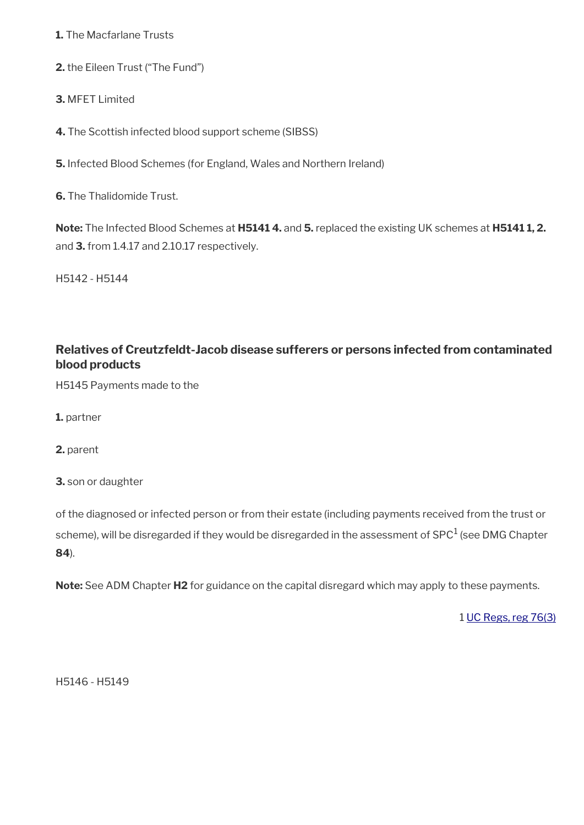**1.** The Macfarlane Trusts

**2.** the Eileen Trust ("The Fund")

**3.** MFET Limited

**4.** The Scottish infected blood support scheme (SIBSS)

**5.** Infected Blood Schemes (for England, Wales and Northern Ireland)

**6.** The Thalidomide Trust.

**Note:** The Infected Blood Schemes at **H5141 4.** and **5.** replaced the existing UK schemes at **H5141 1, 2.**  and **3.** from 1.4.17 and 2.10.17 respectively.

H5142 - H5144

# **Relatives of Creutzfeldt-Jacob disease sufferers or persons infected from contaminated blood products**

H5145 Payments made to the

**1.** partner

**2.** parent

**3.** son or daughter

of the diagnosed or infected person or from their estate (including payments received from the trust or scheme), will be disregarded if they would be disregarded in the assessment of SPC $^1$  (see DMG Chapter **84**).

**Note:** See ADM Chapter **H2** for guidance on the capital disregard which may apply to these payments.

1 [UC Regs, reg 76\(3\)](https://www.legislation.gov.uk/uksi/2013/376/regulation/76)

H5146 - H5149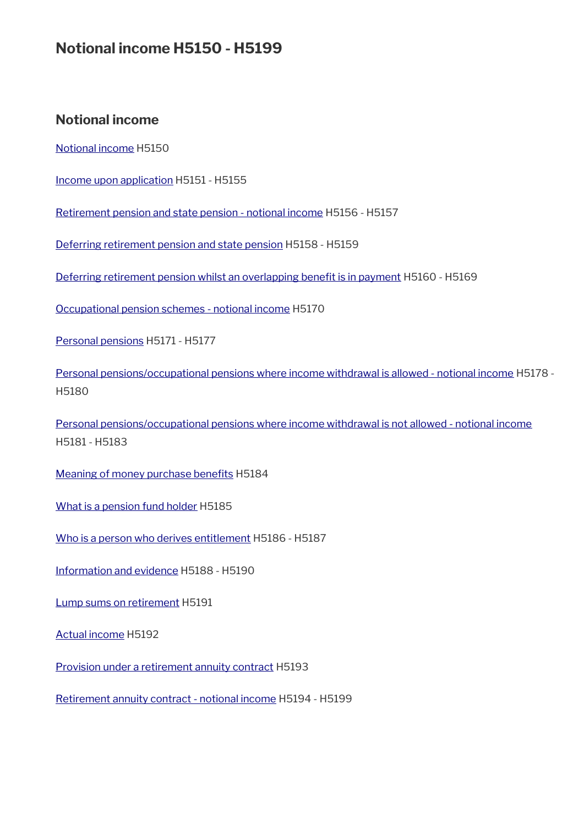# **Notional income H5150 - H5199**

# **Notional income**

[Notional income](#page-24-1) H5150

[Income upon application](#page-24-0) H5151 - H5155

[Retirement pension and state pension - notional income](#page-25-0) H5156 - H5157

[Deferring retirement pension and state pension](#page-26-1) H5158 - H5159

Deferring retirement pension whilst an overlapping benefit is in payment H5160 - H5169

[Occupational pension schemes - notional income](#page-27-0) H5170

[Personal pensions](#page-28-0) H5171 - H5177

[Personal pensions/occupational pensions where income withdrawal is allowed - notional income](#page-29-0) H5178 - H5180

[Personal pensions/occupational pensions where income withdrawal is not allowed - notional income](#page-31-0) H5181 - H5183

Meaning of money purchase benefits H5184

[What is a pension fund holder](#page-32-2) H5185

[Who is a person who derives entitlement](#page-32-1) H5186 - H5187

[Information and evidence](#page-32-0) H5188 - H5190

[Lump sums on retirement](#page-33-1) H5191

[Actual income](#page-33-0) H5192

[Provision under a retirement annuity contract](#page-34-1) H5193

[Retirement annuity contract - notional income](#page-34-0) H5194 - H5199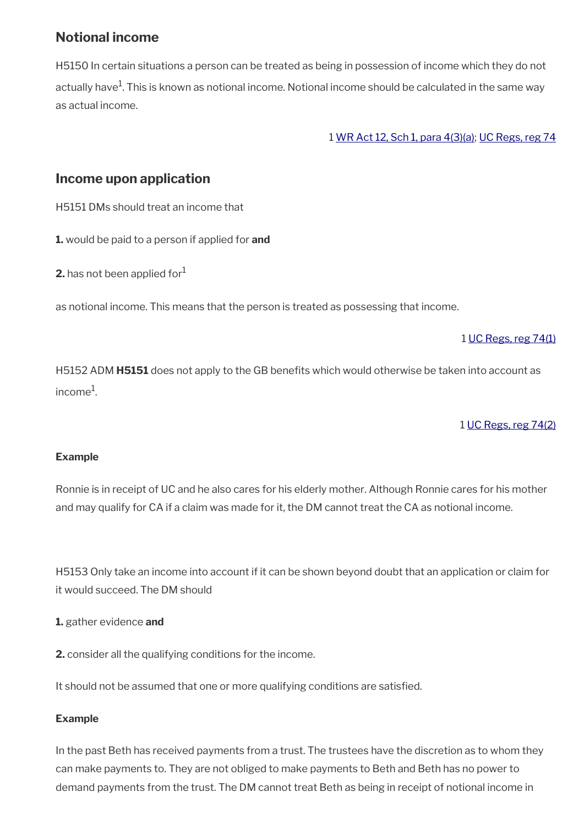# <span id="page-24-1"></span>**Notional income**

H5150 In certain situations a person can be treated as being in possession of income which they do not actually have<sup>1</sup>. This is known as notional income. Notional income should be calculated in the same way as actual income.

1 [WR Act 12, Sch 1, para 4\(3\)\(a\);](https://www.legislation.gov.uk/ukpga/2012/5/schedule/1) [UC Regs, reg 74](https://www.legislation.gov.uk/uksi/2013/376/regulation/74)

# <span id="page-24-0"></span>**Income upon application**

H5151 DMs should treat an income that

**1.** would be paid to a person if applied for **and** 

**2.** has not been applied for  $1$ 

as notional income. This means that the person is treated as possessing that income.

### 1 [UC Regs, reg 74\(1\)](https://www.legislation.gov.uk/uksi/2013/376/regulation/74)

H5152 ADM **H5151** does not apply to the GB benefts which would otherwise be taken into account as income $^1$ .

## 1 [UC Regs, reg 74\(2\)](https://www.legislation.gov.uk/uksi/2013/376/regulation/74)

### **Example**

Ronnie is in receipt of UC and he also cares for his elderly mother. Although Ronnie cares for his mother and may qualify for CA if a claim was made for it, the DM cannot treat the CA as notional income.

H5153 Only take an income into account if it can be shown beyond doubt that an application or claim for it would succeed. The DM should

**1.** gather evidence **and**

**2.** consider all the qualifying conditions for the income.

It should not be assumed that one or more qualifying conditions are satisfed.

### **Example**

In the past Beth has received payments from a trust. The trustees have the discretion as to whom they can make payments to. They are not obliged to make payments to Beth and Beth has no power to demand payments from the trust. The DM cannot treat Beth as being in receipt of notional income in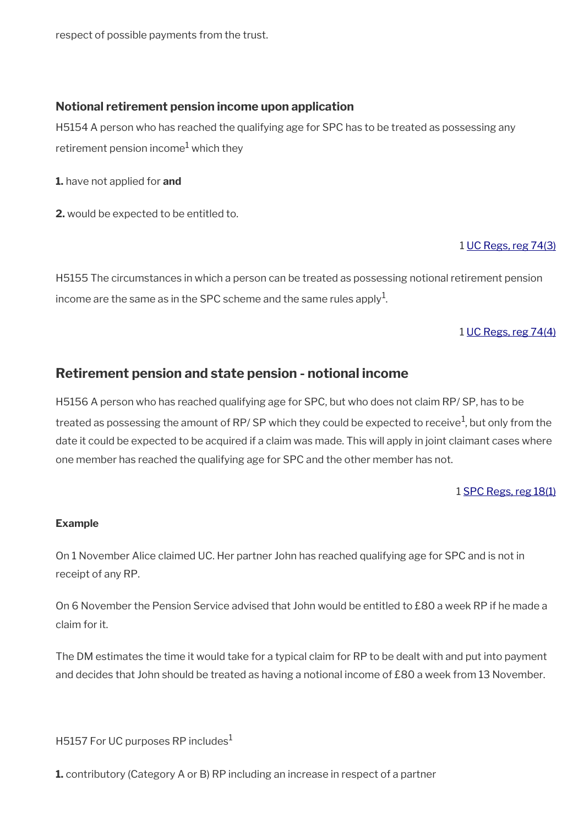respect of possible payments from the trust.

### **Notional retirement pension income upon application**

H5154 A person who has reached the qualifying age for SPC has to be treated as possessing any retirement pension income $^{\rm 1}$  which they

**1.** have not applied for **and**

**2.** would be expected to be entitled to.

### 1 [UC Regs, reg 74\(3\)](https://www.legislation.gov.uk/uksi/2013/376/regulation/74)

H5155 The circumstances in which a person can be treated as possessing notional retirement pension income are the same as in the SPC scheme and the same rules apply $^{\mathrm{1}}$ .

### 1 [UC Regs, reg 74\(4\)](https://www.legislation.gov.uk/uksi/2013/376/regulation/74)

## <span id="page-25-0"></span>**Retirement pension and state pension - notional income**

H5156 A person who has reached qualifying age for SPC, but who does not claim RP/ SP, has to be treated as possessing the amount of RP/ SP which they could be expected to receive<sup>1</sup>, but only from the date it could be expected to be acquired if a claim was made. This will apply in joint claimant cases where one member has reached the qualifying age for SPC and the other member has not.

#### 1 [SPC Regs, reg 18\(1\)](https://www.legislation.gov.uk/uksi/2002/1792/regulation/18)

#### **Example**

On 1 November Alice claimed UC. Her partner John has reached qualifying age for SPC and is not in receipt of any RP.

On 6 November the Pension Service advised that John would be entitled to £80 a week RP if he made a claim for it.

The DM estimates the time it would take for a typical claim for RP to be dealt with and put into payment and decides that John should be treated as having a notional income of £80 a week from 13 November.

H5157 For UC purposes RP includes $<sup>1</sup>$ </sup>

**1.** contributory (Category A or B) RP including an increase in respect of a partner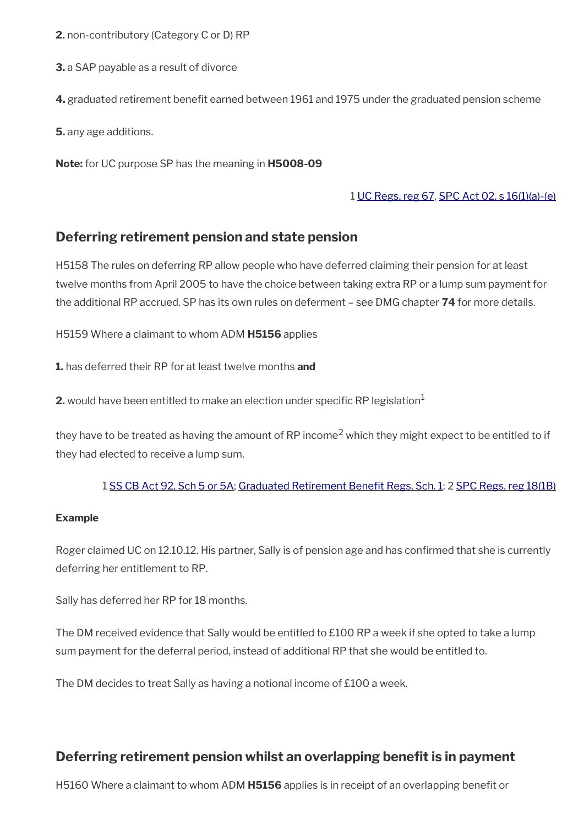**2.** non-contributory (Category C or D) RP

**3.** a SAP payable as a result of divorce

**4.** graduated retirement benefit earned between 1961 and 1975 under the graduated pension scheme

**5.** any age additions.

**Note:** for UC purpose SP has the meaning in **H5008-09**

### 1 [UC Regs, reg 67](https://www.legislation.gov.uk/uksi/2013/376/regulation/67), [SPC Act 02, s 16\(1\)\(a\)-\(e\)](https://www.legislation.gov.uk/ukpga/2002/16/section/16)

## <span id="page-26-1"></span>**Deferring retirement pension and state pension**

H5158 The rules on deferring RP allow people who have deferred claiming their pension for at least twelve months from April 2005 to have the choice between taking extra RP or a lump sum payment for the additional RP accrued. SP has its own rules on deferment – see DMG chapter **74** for more details.

H5159 Where a claimant to whom ADM **H5156** applies

**1.** has deferred their RP for at least twelve months **and**

**2.** would have been entitled to make an election under specific RP legislation<sup>1</sup>

they have to be treated as having the amount of RP income<sup>2</sup> which they might expect to be entitled to if they had elected to receive a lump sum.

### 1 [SS CB Act 92, Sch 5 or 5A;](https://www.legislation.gov.uk/ukpga/1992/4/contents) [Graduated Retirement Beneft Regs, Sch. 1;](https://www.legislation.gov.uk/uksi/2005/454/schedule/1) 2 [SPC Regs, reg 18\(1B\)](https://www.legislation.gov.uk/uksi/2002/1792/regulation/18)

#### **Example**

Roger claimed UC on 12.10.12. His partner, Sally is of pension age and has confrmed that she is currently deferring her entitlement to RP.

Sally has deferred her RP for 18 months.

The DM received evidence that Sally would be entitled to £100 RP a week if she opted to take a lump sum payment for the deferral period, instead of additional RP that she would be entitled to.

The DM decides to treat Sally as having a notional income of £100 a week.

# <span id="page-26-0"></span>**Deferring retirement pension whilst an overlapping benefit is in payment**

H5160 Where a claimant to whom ADM **H5156** applies is in receipt of an overlapping beneft or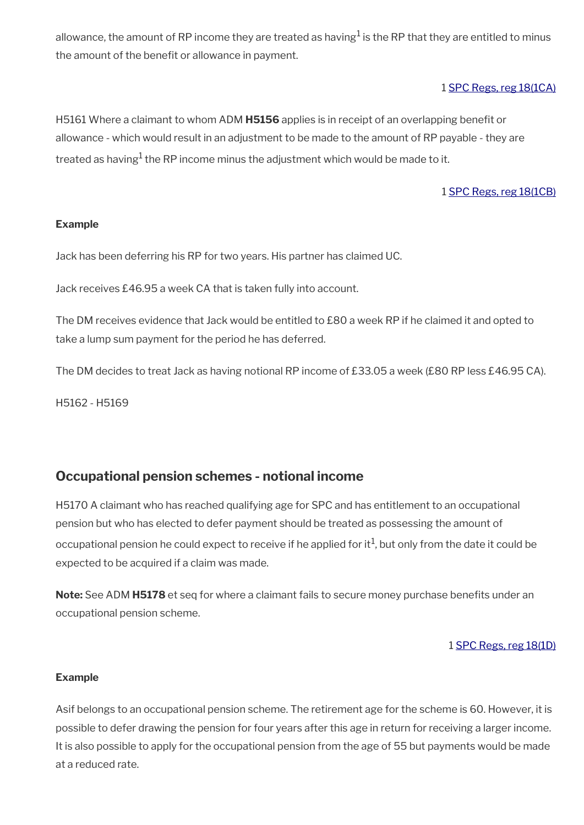allowance, the amount of RP income they are treated as having $^1$  is the RP that they are entitled to minus the amount of the benefit or allowance in payment.

### 1 [SPC Regs, reg 18\(1CA\)](https://www.legislation.gov.uk/uksi/2002/1792/regulation/18)

H5161 Where a claimant to whom ADM **H5156** applies is in receipt of an overlapping beneft or allowance - which would result in an adjustment to be made to the amount of RP payable - they are treated as having $^1$  the RP income minus the adjustment which would be made to it.

### 1 [SPC Regs, reg 18\(1CB\)](https://www.legislation.gov.uk/uksi/2002/1792/regulation/18)

#### **Example**

Jack has been deferring his RP for two years. His partner has claimed UC.

Jack receives £46.95 a week CA that is taken fully into account.

The DM receives evidence that Jack would be entitled to £80 a week RP if he claimed it and opted to take a lump sum payment for the period he has deferred.

The DM decides to treat Jack as having notional RP income of £33.05 a week (£80 RP less £46.95 CA).

H5162 - H5169

## <span id="page-27-0"></span>**Occupational pension schemes - notional income**

H5170 A claimant who has reached qualifying age for SPC and has entitlement to an occupational pension but who has elected to defer payment should be treated as possessing the amount of occupational pension he could expect to receive if he applied for it $^1$ , but only from the date it could be expected to be acquired if a claim was made.

**Note:** See ADM **H5178** et seg for where a claimant fails to secure money purchase benefits under an occupational pension scheme.

#### 1 [SPC Regs, reg 18\(1D\)](https://www.legislation.gov.uk/uksi/2002/1792/regulation/18)

#### **Example**

Asif belongs to an occupational pension scheme. The retirement age for the scheme is 60. However, it is possible to defer drawing the pension for four years after this age in return for receiving a larger income. It is also possible to apply for the occupational pension from the age of 55 but payments would be made at a reduced rate.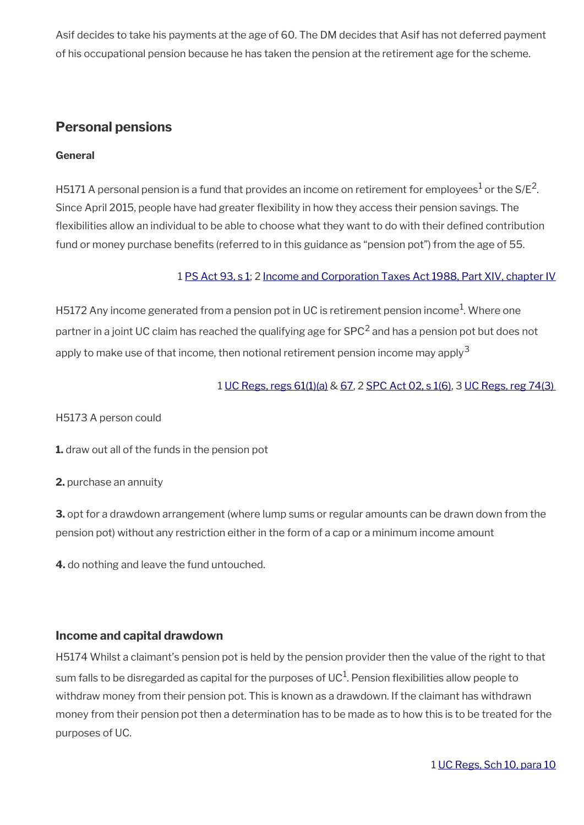Asif decides to take his payments at the age of 60. The DM decides that Asif has not deferred payment of his occupational pension because he has taken the pension at the retirement age for the scheme.

# <span id="page-28-0"></span>**Personal pensions**

### **General**

H5171 A personal pension is a fund that provides an income on retirement for employees $^{\rm 1}$  or the S/E $^{\rm 2}$ . Since April 2015, people have had greater flexibility in how they access their pension savings. The fexibilities allow an individual to be able to choose what they want to do with their defned contribution fund or money purchase benefits (referred to in this guidance as "pension pot") from the age of 55.

### 1 [PS Act 93, s 1;](https://www.legislation.gov.uk/ukpga/1993/48/contents) 2 [Income and Corporation Taxes Act 1988, Part XIV, chapter IV](https://www.legislation.gov.uk/ukpga/1988/1/part/XIV/chapter/IV)

H5172 Any income generated from a pension pot in UC is retirement pension income<sup>1</sup>. Where one partner in a joint UC claim has reached the qualifying age for SPC<sup>2</sup> and has a pension pot but does not apply to make use of that income, then notional retirement pension income may apply<sup>3</sup>

### 1 [UC Regs, regs 61\(1\)\(a\)](https://www.legislation.gov.uk/uksi/2013/376/regulation/61) & [67](https://www.legislation.gov.uk/uksi/2013/376/regulation/67), 2 [SPC Act 02, s 1\(6\)](https://www.legislation.gov.uk/ukpga/2002/16/schedule/1), 3 [UC Regs, reg 74\(3\)](https://www.legislation.gov.uk/uksi/2013/376/regulation/74)

H5173 A person could

**1.** draw out all of the funds in the pension pot

**2.** purchase an annuity

**3.** opt for a drawdown arrangement (where lump sums or regular amounts can be drawn down from the pension pot) without any restriction either in the form of a cap or a minimum income amount

**4.** do nothing and leave the fund untouched.

## **Income and capital drawdown**

H5174 Whilst a claimant's pension pot is held by the pension provider then the value of the right to that sum falls to be disregarded as capital for the purposes of UC $^1$ . Pension flexibilities allow people to withdraw money from their pension pot. This is known as a drawdown. If the claimant has withdrawn money from their pension pot then a determination has to be made as to how this is to be treated for the purposes of UC.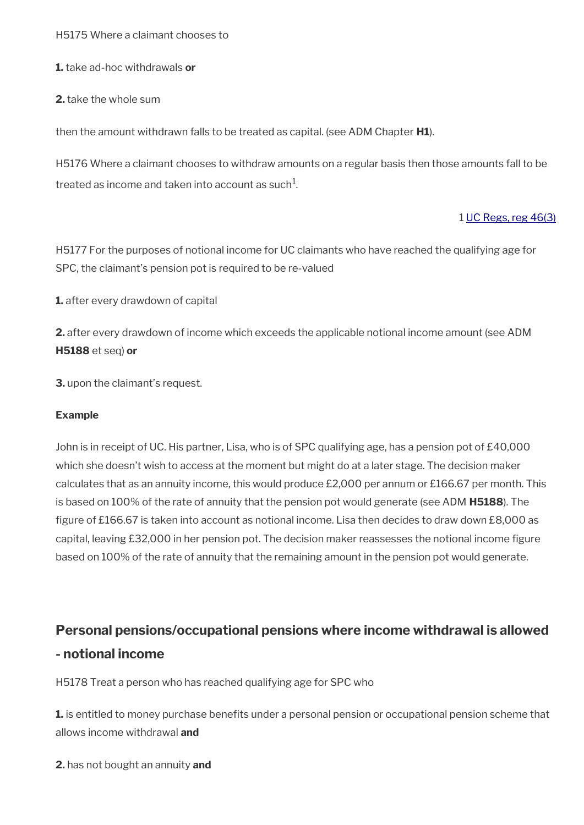H5175 Where a claimant chooses to

**1.** take ad-hoc withdrawals **or**

**2.** take the whole sum

then the amount withdrawn falls to be treated as capital. (see ADM Chapter **H1**).

H5176 Where a claimant chooses to withdraw amounts on a regular basis then those amounts fall to be treated as income and taken into account as such $^1\!\!$ 

### 1 [UC Regs, reg 46\(3\)](https://www.legislation.gov.uk/uksi/2013/376/regulation/46)

H5177 For the purposes of notional income for UC claimants who have reached the qualifying age for SPC, the claimant's pension pot is required to be re-valued

**1.** after every drawdown of capital

**2.** after every drawdown of income which exceeds the applicable notional income amount (see ADM **H5188** et seq) **or**

**3.** upon the claimant's request.

#### **Example**

John is in receipt of UC. His partner, Lisa, who is of SPC qualifying age, has a pension pot of £40,000 which she doesn't wish to access at the moment but might do at a later stage. The decision maker calculates that as an annuity income, this would produce £2,000 per annum or £166.67 per month. This is based on 100% of the rate of annuity that the pension pot would generate (see ADM **H5188**). The figure of £166.67 is taken into account as notional income. Lisa then decides to draw down £8,000 as capital, leaving £32,000 in her pension pot. The decision maker reassesses the notional income fgure based on 100% of the rate of annuity that the remaining amount in the pension pot would generate.

# <span id="page-29-0"></span>**Personal pensions/occupational pensions where income withdrawal is allowed - notional income**

H5178 Treat a person who has reached qualifying age for SPC who

**1.** is entitled to money purchase benefits under a personal pension or occupational pension scheme that allows income withdrawal **and**

**2.** has not bought an annuity **and**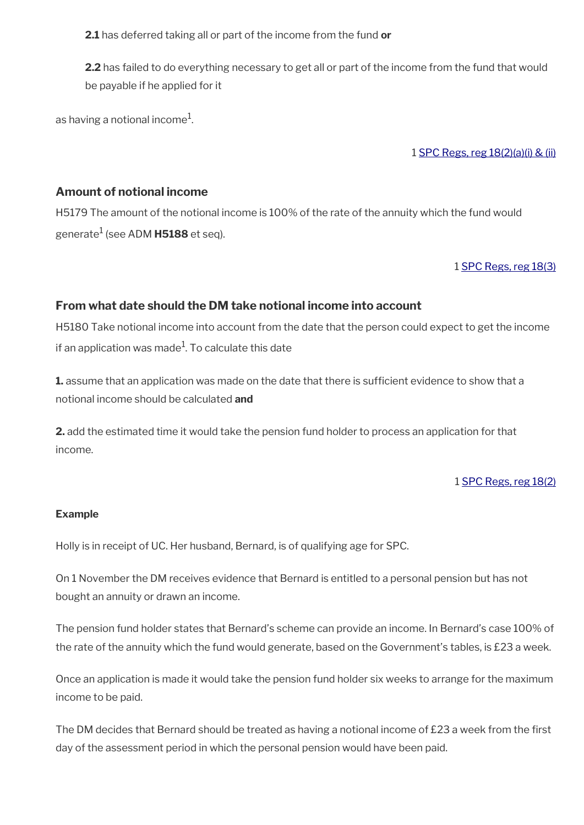**2.1** has deferred taking all or part of the income from the fund **or**

**2.2** has failed to do everything necessary to get all or part of the income from the fund that would be payable if he applied for it

as having a notional income $^{\rm 1}$ .

1 [SPC Regs, reg 18\(2\)\(a\)\(i\) & \(ii\)](https://www.legislation.gov.uk/uksi/2002/1792/regulation/18)

### **Amount of notional income**

H5179 The amount of the notional income is 100% of the rate of the annuity which the fund would generate<sup>1</sup> (see ADM **H5188** et seq).

### 1 [SPC Regs, reg 18\(3\)](https://www.legislation.gov.uk/uksi/2002/1792/regulation/18)

### **From what date should the DM take notional income into account**

H5180 Take notional income into account from the date that the person could expect to get the income if an application was made $^1\!$ . To calculate this date

**1.** assume that an application was made on the date that there is sufficient evidence to show that a notional income should be calculated **and**

**2.** add the estimated time it would take the pension fund holder to process an application for that income.

#### 1 [SPC Regs, reg 18\(2\)](https://www.legislation.gov.uk/uksi/2002/1792/regulation/18)

#### **Example**

Holly is in receipt of UC. Her husband, Bernard, is of qualifying age for SPC.

On 1 November the DM receives evidence that Bernard is entitled to a personal pension but has not bought an annuity or drawn an income.

The pension fund holder states that Bernard's scheme can provide an income. In Bernard's case 100% of the rate of the annuity which the fund would generate, based on the Government's tables, is £23 a week.

Once an application is made it would take the pension fund holder six weeks to arrange for the maximum income to be paid.

The DM decides that Bernard should be treated as having a notional income of £23 a week from the first day of the assessment period in which the personal pension would have been paid.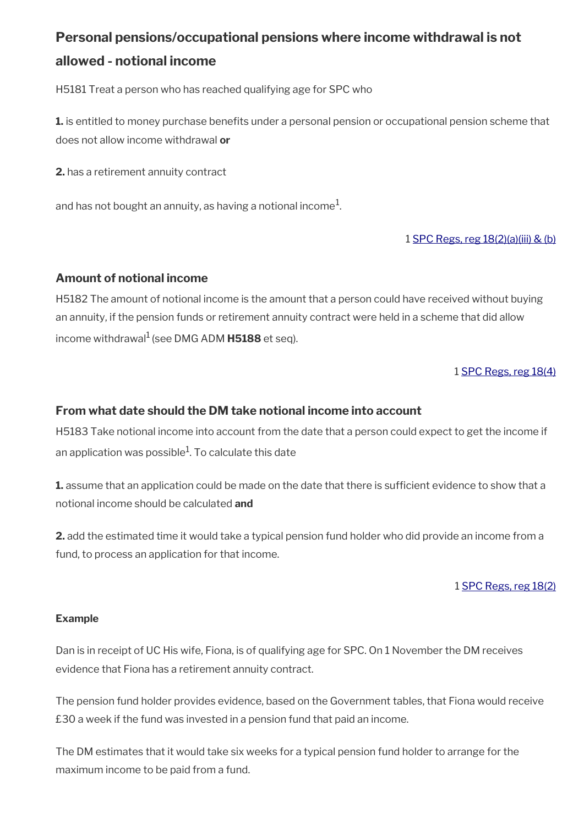# <span id="page-31-0"></span>**Personal pensions/occupational pensions where income withdrawal is not allowed - notional income**

H5181 Treat a person who has reached qualifying age for SPC who

**1.** is entitled to money purchase benefits under a personal pension or occupational pension scheme that does not allow income withdrawal **or**

**2.** has a retirement annuity contract

and has not bought an annuity, as having a notional income $^1\!\!$ 

1 [SPC Regs, reg 18\(2\)\(a\)\(iii\) & \(b\)](https://www.legislation.gov.uk/uksi/2002/1792/regulation/18)

## **Amount of notional income**

H5182 The amount of notional income is the amount that a person could have received without buying an annuity, if the pension funds or retirement annuity contract were held in a scheme that did allow income withdrawal<sup>1</sup> (see DMG ADM **H5188** et seq).

### 1 [SPC Regs, reg 18\(4\)](https://www.legislation.gov.uk/uksi/2002/1792/regulation/18)

### **From what date should the DM take notional income into account**

H5183 Take notional income into account from the date that a person could expect to get the income if an application was possible $^{\rm 1}$ . To calculate this date

**1.** assume that an application could be made on the date that there is sufficient evidence to show that a notional income should be calculated **and**

**2.** add the estimated time it would take a typical pension fund holder who did provide an income from a fund, to process an application for that income.

### 1 [SPC Regs, reg 18\(2\)](https://www.legislation.gov.uk/uksi/2002/1792/regulation/18)

### **Example**

Dan is in receipt of UC His wife, Fiona, is of qualifying age for SPC. On 1 November the DM receives evidence that Fiona has a retirement annuity contract.

The pension fund holder provides evidence, based on the Government tables, that Fiona would receive £30 a week if the fund was invested in a pension fund that paid an income.

The DM estimates that it would take six weeks for a typical pension fund holder to arrange for the maximum income to be paid from a fund.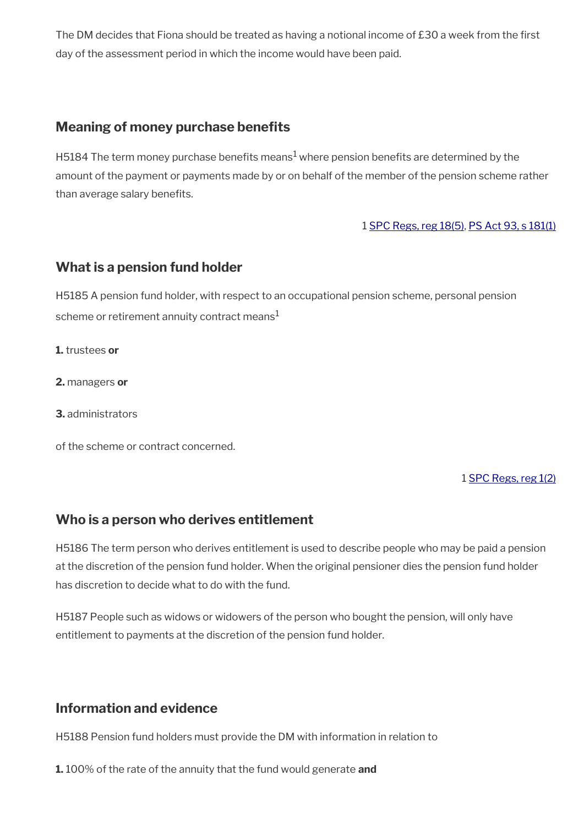The DM decides that Fiona should be treated as having a notional income of £30 a week from the first day of the assessment period in which the income would have been paid.

# <span id="page-32-3"></span>**Meaning of money purchase benefits**

H5184 The term money purchase benefits means $^1$  where pension benefits are determined by the amount of the payment or payments made by or on behalf of the member of the pension scheme rather than average salary benefits.

### 1 [SPC Regs, reg 18\(5\)](https://www.legislation.gov.uk/uksi/2002/1792/regulation/18), [PS Act 93, s 181\(1\)](https://www.legislation.gov.uk/ukpga/1993/48/contents)

## <span id="page-32-2"></span>**What is a pension fund holder**

H5185 A pension fund holder, with respect to an occupational pension scheme, personal pension scheme or retirement annuity contract means $<sup>1</sup>$ </sup>

**1.** trustees **or**

**2.** managers **or**

**3.** administrators

of the scheme or contract concerned.

1 [SPC Regs, reg 1\(2\)](https://www.legislation.gov.uk/uksi/2002/1792/regulation/1)

## <span id="page-32-1"></span>**Who is a person who derives entitlement**

H5186 The term person who derives entitlement is used to describe people who may be paid a pension at the discretion of the pension fund holder. When the original pensioner dies the pension fund holder has discretion to decide what to do with the fund.

H5187 People such as widows or widowers of the person who bought the pension, will only have entitlement to payments at the discretion of the pension fund holder.

# <span id="page-32-0"></span>**Information and evidence**

H5188 Pension fund holders must provide the DM with information in relation to

**1.** 100% of the rate of the annuity that the fund would generate **and**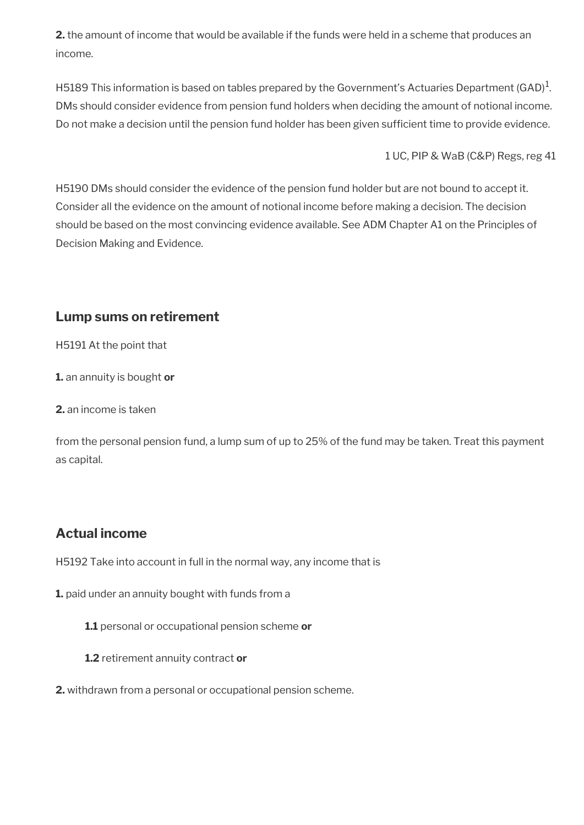**2.** the amount of income that would be available if the funds were held in a scheme that produces an income.

H5189 This information is based on tables prepared by the Government's Actuaries Department (GAD) $^1$ . DMs should consider evidence from pension fund holders when deciding the amount of notional income. Do not make a decision until the pension fund holder has been given sufficient time to provide evidence.

1 UC, PIP & WaB (C&P) Regs, reg 41

H5190 DMs should consider the evidence of the pension fund holder but are not bound to accept it. Consider all the evidence on the amount of notional income before making a decision. The decision should be based on the most convincing evidence available. See ADM Chapter A1 on the Principles of Decision Making and Evidence.

# <span id="page-33-1"></span>**Lump sums on retirement**

H5191 At the point that

**1.** an annuity is bought **or**

**2.** an income is taken

from the personal pension fund, a lump sum of up to 25% of the fund may be taken. Treat this payment as capital.

# <span id="page-33-0"></span>**Actual income**

H5192 Take into account in full in the normal way, any income that is

**1.** paid under an annuity bought with funds from a

**1.1** personal or occupational pension scheme **or**

- **1.2** retirement annuity contract **or**
- **2.** withdrawn from a personal or occupational pension scheme.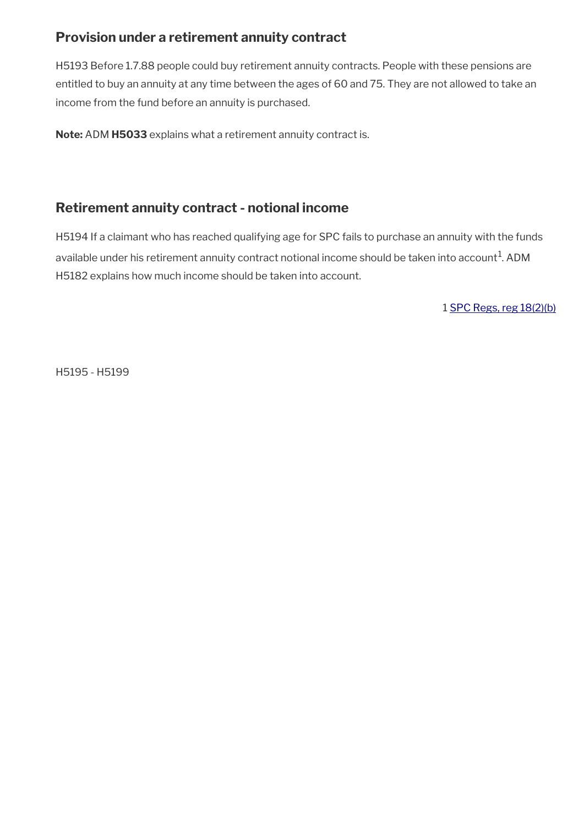# <span id="page-34-1"></span>**Provision under a retirement annuity contract**

H5193 Before 1.7.88 people could buy retirement annuity contracts. People with these pensions are entitled to buy an annuity at any time between the ages of 60 and 75. They are not allowed to take an income from the fund before an annuity is purchased.

**Note:** ADM **H5033** explains what a retirement annuity contract is.

# <span id="page-34-0"></span>**Retirement annuity contract - notional income**

H5194 If a claimant who has reached qualifying age for SPC fails to purchase an annuity with the funds available under his retirement annuity contract notional income should be taken into account $^{\rm 1}$ . ADM H5182 explains how much income should be taken into account.

1 [SPC Regs, reg 18\(2\)\(b\)](https://www.legislation.gov.uk/uksi/2002/1792/regulation/18)

H5195 - H5199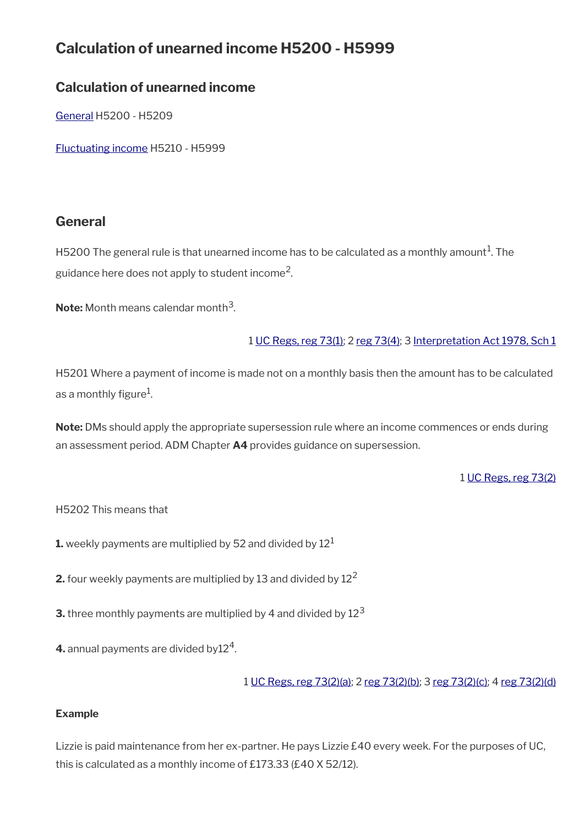# **Calculation of unearned income H5200 - H5999**

# **Calculation of unearned income**

[General](#page-35-0) H5200 - H5209

[Fluctuating income](#page-36-0) H5210 - H5999

# <span id="page-35-0"></span>**General**

H5200 The general rule is that unearned income has to be calculated as a monthly amount $^1\!$ . The guidance here does not apply to student income $^2\!$ 

**Note:** Month means calendar month<sup>3</sup>.

### 1 [UC Regs, reg 73\(1\)](https://www.legislation.gov.uk/uksi/2013/376/regulation/73); 2 [reg 73\(4\);](https://www.legislation.gov.uk/uksi/2013/376/regulation/73) 3 [Interpretation Act 1978, Sch 1](https://www.legislation.gov.uk/ukpga/1978/30/schedule/1)

H5201 Where a payment of income is made not on a monthly basis then the amount has to be calculated as a monthly figure $^1\!\!$ .

**Note:** DMs should apply the appropriate supersession rule where an income commences or ends during an assessment period. ADM Chapter **A4** provides guidance on supersession.

### 1 [UC Regs, reg 73\(2\)](https://www.legislation.gov.uk/uksi/2013/376/regulation/73)

### H5202 This means that

**1.** weekly payments are multiplied by 52 and divided by  $12<sup>1</sup>$ 

**2.** four weekly payments are multiplied by 13 and divided by 12<sup>2</sup>

- **3.** three monthly payments are multiplied by 4 and divided by  $12<sup>3</sup>$
- **4.** annual payments are divided by $12^4$ .

1 [UC Regs, reg 73\(2\)\(a\)](https://www.legislation.gov.uk/uksi/2013/376/regulation/73); 2 [reg 73\(2\)\(b\);](https://www.legislation.gov.uk/uksi/2013/376/regulation/73) 3 [reg 73\(2\)\(c\)](https://www.legislation.gov.uk/uksi/2013/376/regulation/73); 4 [reg 73\(2\)\(d\)](https://www.legislation.gov.uk/uksi/2013/376/regulation/73)

### **Example**

Lizzie is paid maintenance from her ex-partner. He pays Lizzie £40 every week. For the purposes of UC, this is calculated as a monthly income of £173.33 (£40 X 52/12).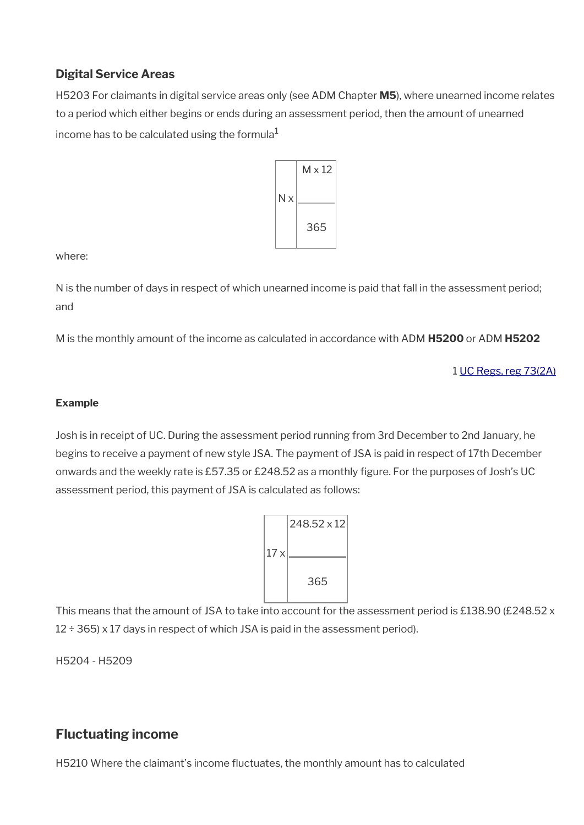# **Digital Service Areas**

H5203 For claimants in digital service areas only (see ADM Chapter **M5**), where unearned income relates to a period which either begins or ends during an assessment period, then the amount of unearned income has to be calculated using the formula $1$ 



where:

N is the number of days in respect of which unearned income is paid that fall in the assessment period; and

M is the monthly amount of the income as calculated in accordance with ADM **H5200** or ADM **H5202**

1 [UC Regs, reg 73\(2A\)](https://www.legislation.gov.uk/uksi/2013/376/regulation/73)

### **Example**

Josh is in receipt of UC. During the assessment period running from 3rd December to 2nd January, he begins to receive a payment of new style JSA. The payment of JSA is paid in respect of 17th December onwards and the weekly rate is £57.35 or £248.52 as a monthly figure. For the purposes of Josh's UC assessment period, this payment of JSA is calculated as follows:



This means that the amount of JSA to take into account for the assessment period is £138.90 (£248.52 x  $12 \div 365$ ) x 17 days in respect of which JSA is paid in the assessment period).

H5204 - H5209

# <span id="page-36-0"></span>**Fluctuating income**

H5210 Where the claimant's income fuctuates, the monthly amount has to calculated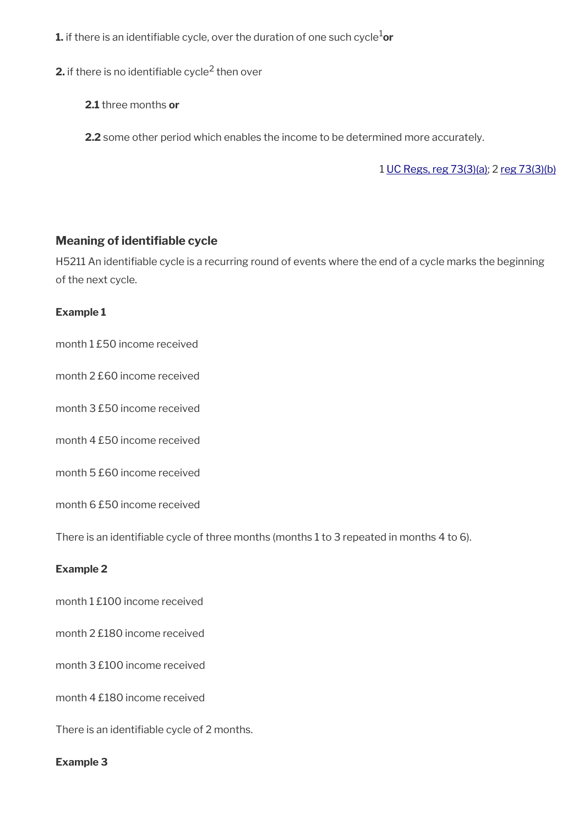**1.** if there is an identifiable cycle, over the duration of one such cycle<sup>1</sup>or

**2.** if there is no identifiable cycle $^2$  then over

**2.1** three months **or**

**2.2** some other period which enables the income to be determined more accurately.

1 [UC Regs, reg 73\(3\)\(a\)](https://www.legislation.gov.uk/uksi/2013/376/regulation/73); 2 [reg 73\(3\)\(b\)](https://www.legislation.gov.uk/uksi/2013/376/regulation/73)

### **Meaning of identifable cycle**

H5211 An identifable cycle is a recurring round of events where the end of a cycle marks the beginning of the next cycle.

### **Example 1**

month 1 £50 income received

month 2 £60 income received

month 3 £50 income received

month 4 £50 income received

month 5 £60 income received

month 6 £50 income received

There is an identifable cycle of three months (months 1 to 3 repeated in months 4 to 6).

#### **Example 2**

month 1 £100 income received

month 2 £180 income received

month 3 £100 income received

month 4 £180 income received

There is an identifable cycle of 2 months.

#### **Example 3**